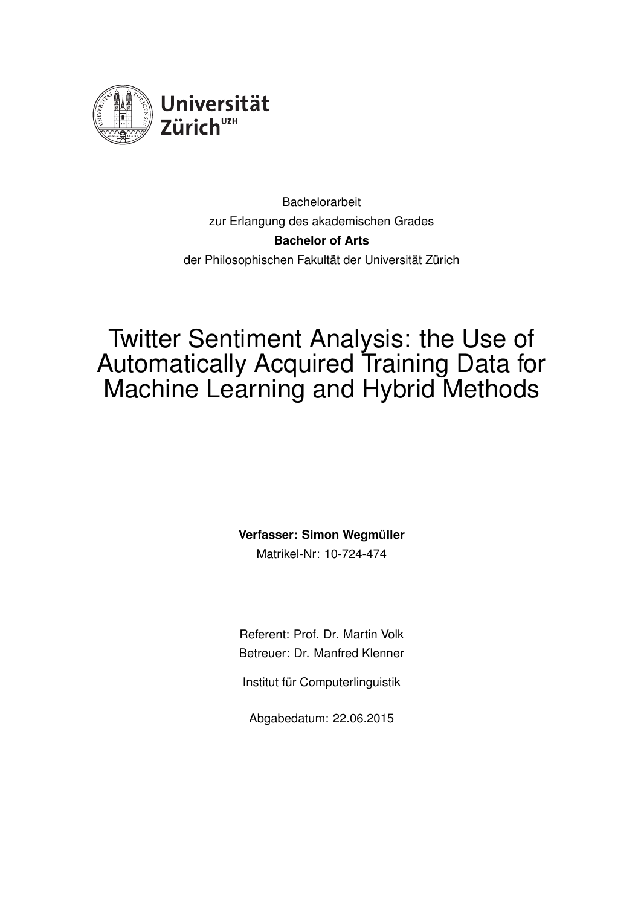

**Bachelorarbeit** zur Erlangung des akademischen Grades **Bachelor of Arts** der Philosophischen Fakultät der Universität Zürich

## Twitter Sentiment Analysis: the Use of Automatically Acquired Training Data for Machine Learning and Hybrid Methods

**Verfasser: Simon Wegmüller** 

Matrikel-Nr: 10-724-474

Referent: Prof. Dr. Martin Volk Betreuer: Dr. Manfred Klenner

Institut für Computerlinguistik

Abgabedatum: 22.06.2015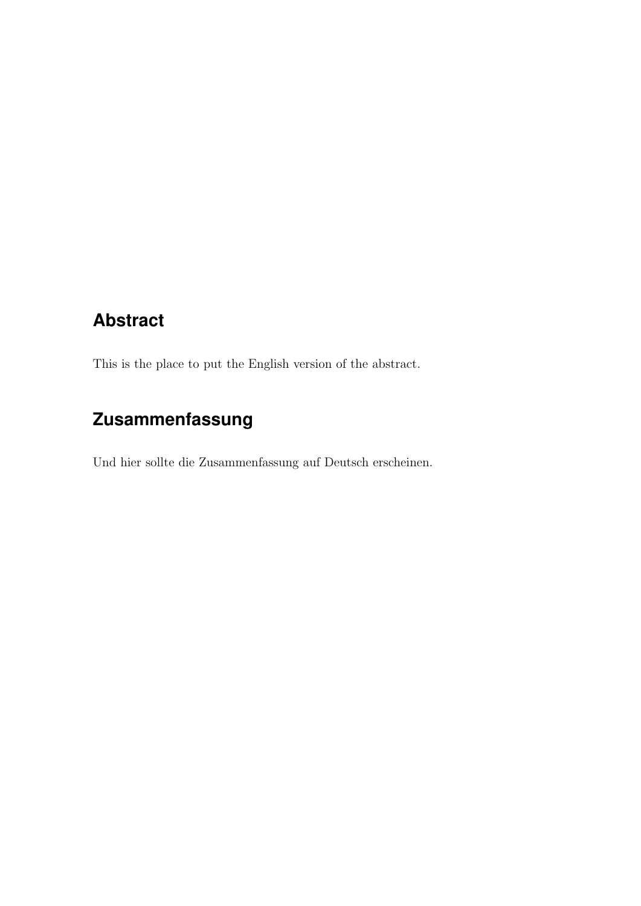### <span id="page-1-0"></span>**Abstract**

This is the place to put the English version of the abstract.

### **Zusammenfassung**

Und hier sollte die Zusammenfassung auf Deutsch erscheinen.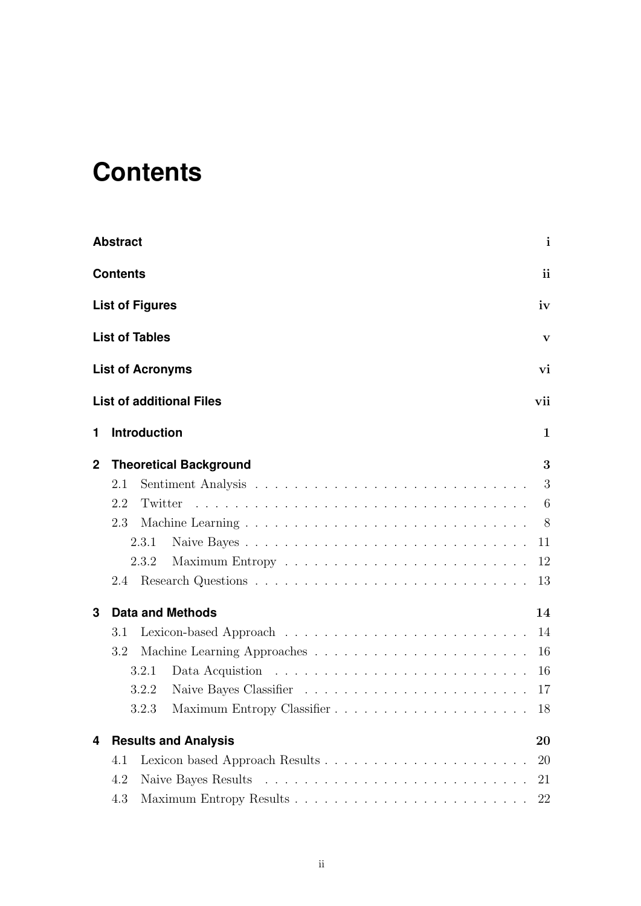# <span id="page-2-0"></span>**Contents**

|              | <b>Abstract</b>                 | $\mathbf{i}$   |
|--------------|---------------------------------|----------------|
|              | <b>Contents</b>                 | <i>ii</i>      |
|              | <b>List of Figures</b>          | iv             |
|              | <b>List of Tables</b>           | V              |
|              | <b>List of Acronyms</b>         | vi             |
|              | <b>List of additional Files</b> | vii            |
| 1            | <b>Introduction</b>             | 1              |
| $\mathbf{2}$ | <b>Theoretical Background</b>   | 3              |
|              | 2.1                             | 3              |
|              | 2.2                             | 6              |
|              | 2.3                             | 8 <sup>8</sup> |
|              | Naive Bayes<br>2.3.1            | 11             |
|              | 2.3.2                           | 12             |
|              |                                 | 13             |
| 3            | <b>Data and Methods</b>         | 14             |
|              | 3.1                             | 14             |
|              | 3.2                             | 16             |
|              | 3.2.1                           | 16             |
|              | 3.2.2                           |                |
|              | 3.2.3                           | 18             |
| 4            | <b>Results and Analysis</b>     | 20             |
|              | 4.1                             | <b>20</b>      |
|              | 4.2                             | 21             |
|              | 4.3                             | 22             |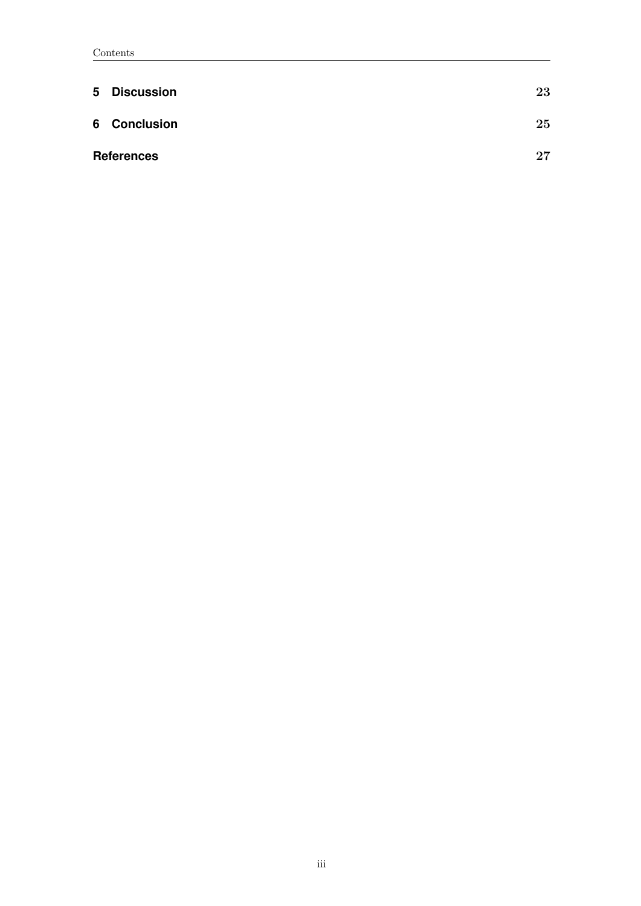| 5 | <b>Discussion</b> | 23 |
|---|-------------------|----|
|   | 6 Conclusion      | 25 |
|   | <b>References</b> | 27 |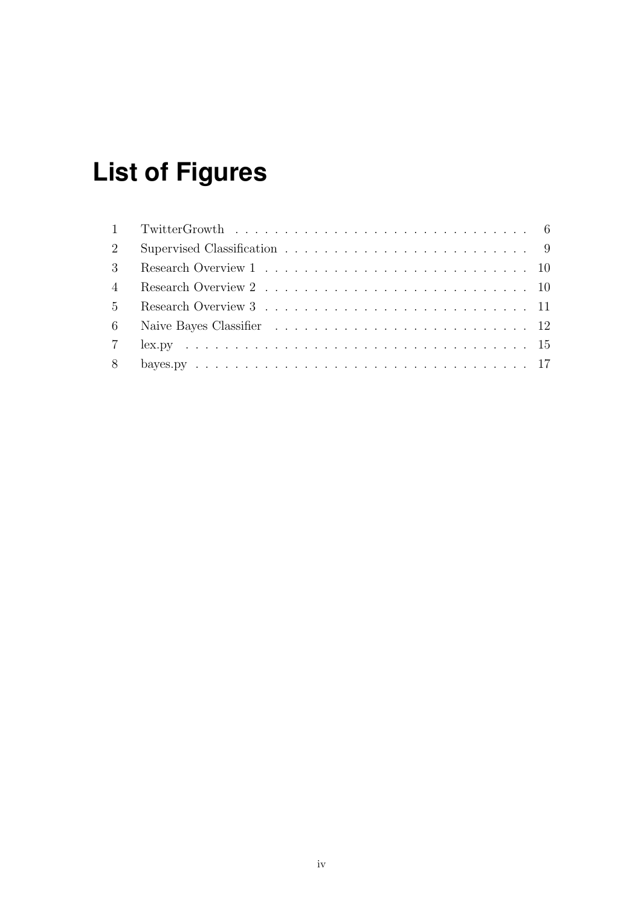# <span id="page-4-0"></span>**List of Figures**

| 2              |  |
|----------------|--|
| 3              |  |
| $\overline{4}$ |  |
| 5 <sup>5</sup> |  |
|                |  |
|                |  |
|                |  |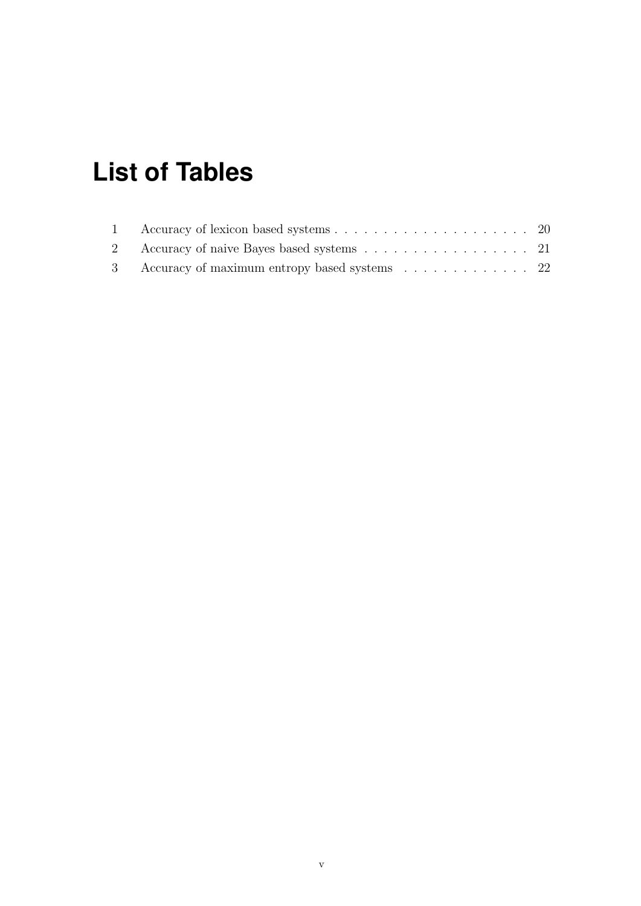# <span id="page-5-0"></span>**List of Tables**

| 2 Accuracy of naive Bayes based systems 21     |  |
|------------------------------------------------|--|
| 3 Accuracy of maximum entropy based systems 22 |  |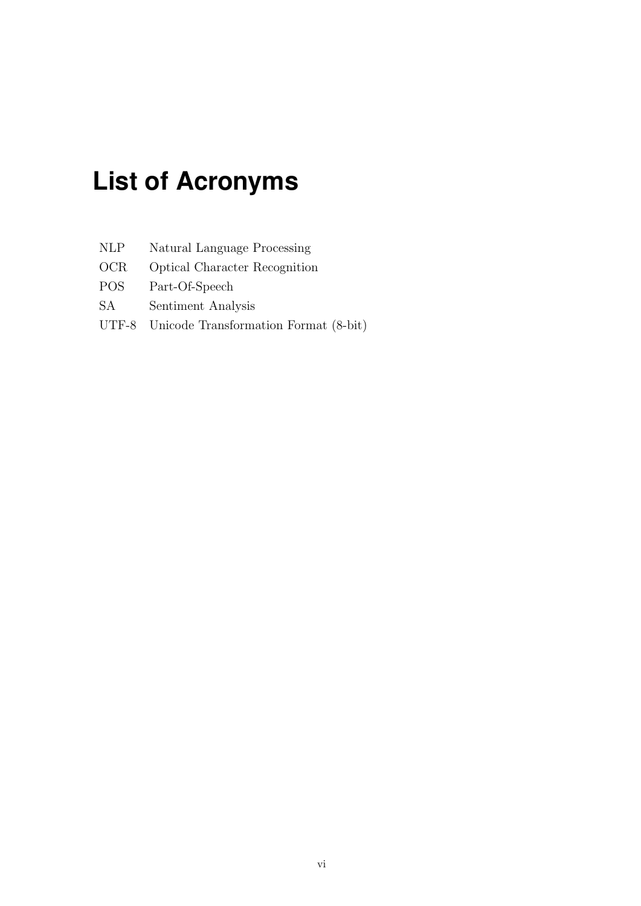# <span id="page-6-0"></span>**List of Acronyms**

| <b>NLP</b> |  |  | Natural Language Processing |
|------------|--|--|-----------------------------|
|------------|--|--|-----------------------------|

OCR Optical Character Recognition

- POS Part-Of-Speech
- SA Sentiment Analysis
- UTF-8 Unicode Transformation Format (8-bit)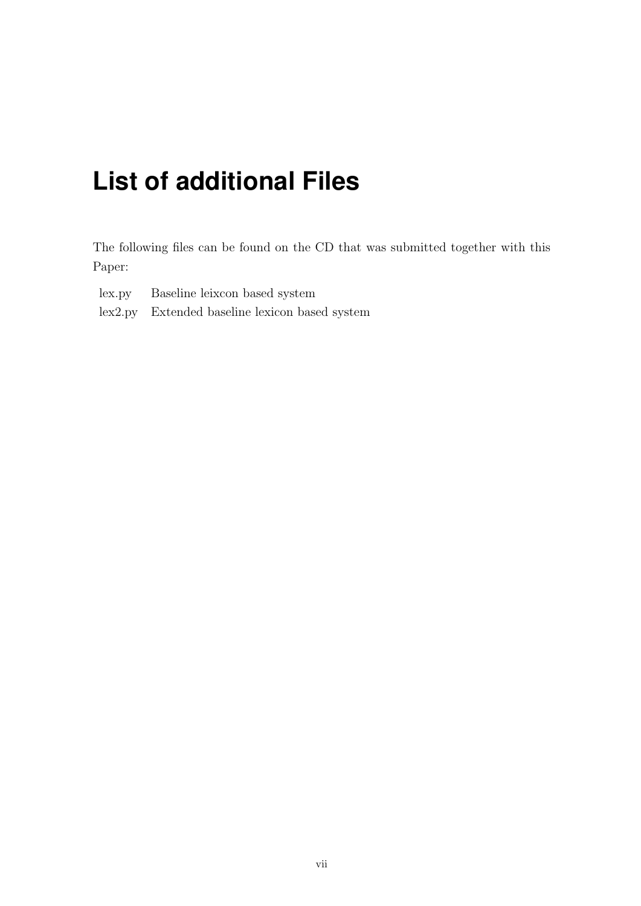# <span id="page-7-0"></span>**List of additional Files**

The following files can be found on the CD that was submitted together with this Paper:

- lex.py Baseline leixcon based system
- lex2.py Extended baseline lexicon based system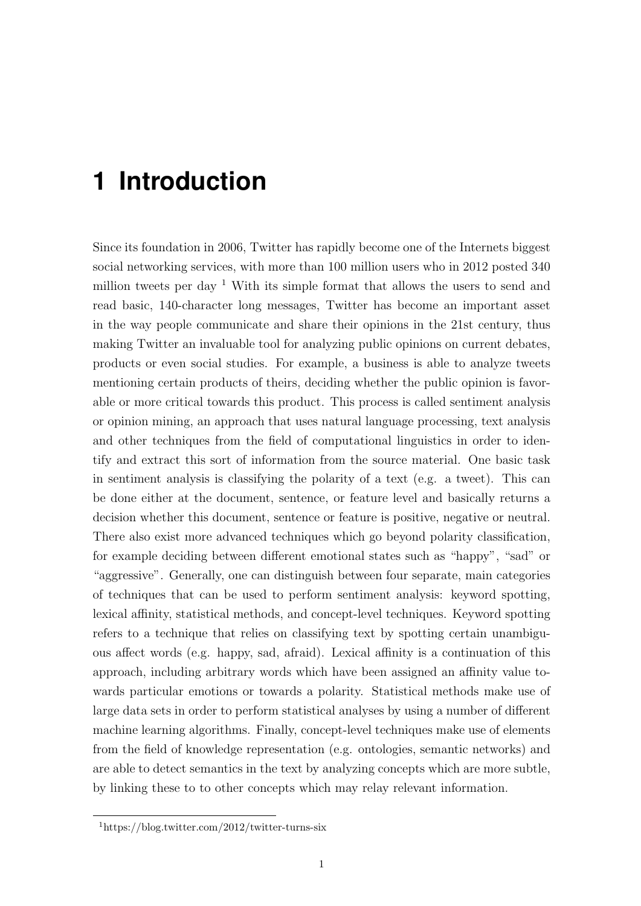## <span id="page-8-0"></span>**1 Introduction**

Since its foundation in 2006, Twitter has rapidly become one of the Internets biggest social networking services, with more than 100 million users who in 2012 posted 340 million tweets per day  $1$  With its simple format that allows the users to send and read basic, 140-character long messages, Twitter has become an important asset in the way people communicate and share their opinions in the 21st century, thus making Twitter an invaluable tool for analyzing public opinions on current debates, products or even social studies. For example, a business is able to analyze tweets mentioning certain products of theirs, deciding whether the public opinion is favorable or more critical towards this product. This process is called sentiment analysis or opinion mining, an approach that uses natural language processing, text analysis and other techniques from the field of computational linguistics in order to identify and extract this sort of information from the source material. One basic task in sentiment analysis is classifying the polarity of a text (e.g. a tweet). This can be done either at the document, sentence, or feature level and basically returns a decision whether this document, sentence or feature is positive, negative or neutral. There also exist more advanced techniques which go beyond polarity classification, for example deciding between different emotional states such as "happy", "sad" or "aggressive". Generally, one can distinguish between four separate, main categories of techniques that can be used to perform sentiment analysis: keyword spotting, lexical affinity, statistical methods, and concept-level techniques. Keyword spotting refers to a technique that relies on classifying text by spotting certain unambiguous affect words (e.g. happy, sad, afraid). Lexical affinity is a continuation of this approach, including arbitrary words which have been assigned an affinity value towards particular emotions or towards a polarity. Statistical methods make use of large data sets in order to perform statistical analyses by using a number of different machine learning algorithms. Finally, concept-level techniques make use of elements from the field of knowledge representation (e.g. ontologies, semantic networks) and are able to detect semantics in the text by analyzing concepts which are more subtle, by linking these to to other concepts which may relay relevant information.

<sup>1</sup>https://blog.twitter.com/2012/twitter-turns-six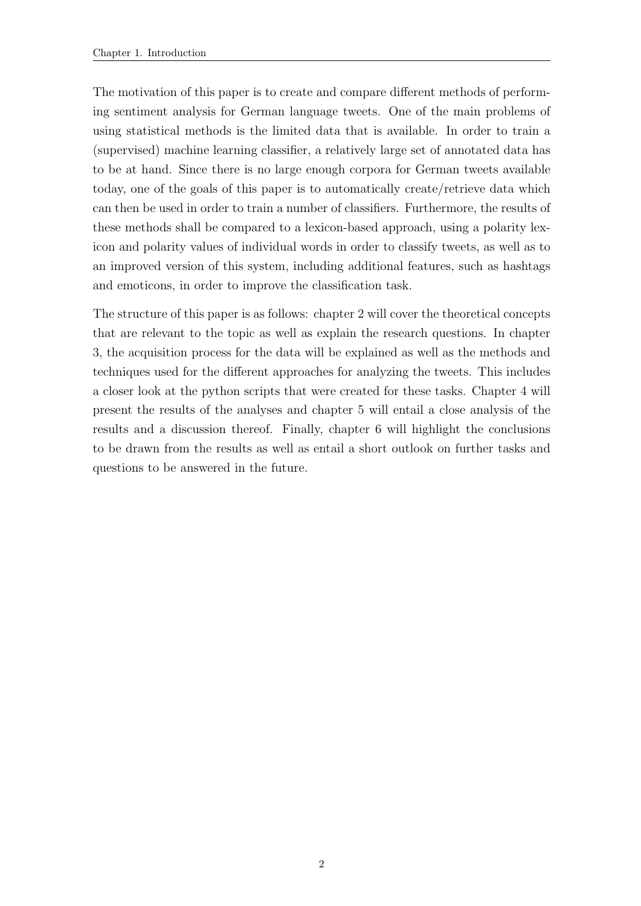The motivation of this paper is to create and compare different methods of performing sentiment analysis for German language tweets. One of the main problems of using statistical methods is the limited data that is available. In order to train a (supervised) machine learning classifier, a relatively large set of annotated data has to be at hand. Since there is no large enough corpora for German tweets available today, one of the goals of this paper is to automatically create/retrieve data which can then be used in order to train a number of classifiers. Furthermore, the results of these methods shall be compared to a lexicon-based approach, using a polarity lexicon and polarity values of individual words in order to classify tweets, as well as to an improved version of this system, including additional features, such as hashtags and emoticons, in order to improve the classification task.

The structure of this paper is as follows: chapter 2 will cover the theoretical concepts that are relevant to the topic as well as explain the research questions. In chapter 3, the acquisition process for the data will be explained as well as the methods and techniques used for the different approaches for analyzing the tweets. This includes a closer look at the python scripts that were created for these tasks. Chapter 4 will present the results of the analyses and chapter 5 will entail a close analysis of the results and a discussion thereof. Finally, chapter 6 will highlight the conclusions to be drawn from the results as well as entail a short outlook on further tasks and questions to be answered in the future.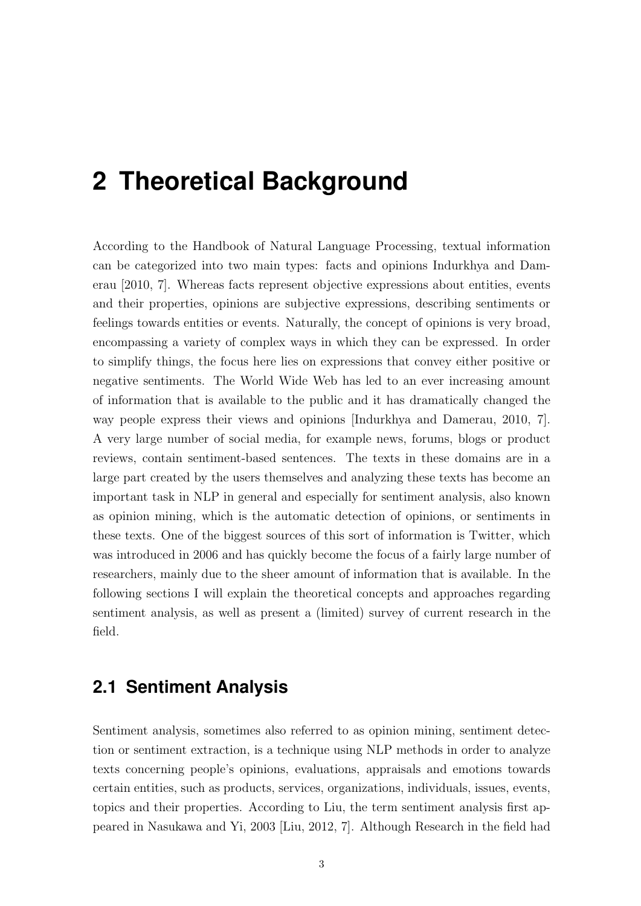## <span id="page-10-0"></span>**2 Theoretical Background**

According to the Handbook of Natural Language Processing, textual information can be categorized into two main types: facts and opinions [Indurkhya and Dam](#page-35-0)[erau](#page-35-0) [\[2010,](#page-35-0) 7]. Whereas facts represent objective expressions about entities, events and their properties, opinions are subjective expressions, describing sentiments or feelings towards entities or events. Naturally, the concept of opinions is very broad, encompassing a variety of complex ways in which they can be expressed. In order to simplify things, the focus here lies on expressions that convey either positive or negative sentiments. The World Wide Web has led to an ever increasing amount of information that is available to the public and it has dramatically changed the way people express their views and opinions [\[Indurkhya and Damerau,](#page-35-0) [2010,](#page-35-0) 7]. A very large number of social media, for example news, forums, blogs or product reviews, contain sentiment-based sentences. The texts in these domains are in a large part created by the users themselves and analyzing these texts has become an important task in NLP in general and especially for sentiment analysis, also known as opinion mining, which is the automatic detection of opinions, or sentiments in these texts. One of the biggest sources of this sort of information is Twitter, which was introduced in 2006 and has quickly become the focus of a fairly large number of researchers, mainly due to the sheer amount of information that is available. In the following sections I will explain the theoretical concepts and approaches regarding sentiment analysis, as well as present a (limited) survey of current research in the field.

### <span id="page-10-1"></span>**2.1 Sentiment Analysis**

Sentiment analysis, sometimes also referred to as opinion mining, sentiment detection or sentiment extraction, is a technique using NLP methods in order to analyze texts concerning people's opinions, evaluations, appraisals and emotions towards certain entities, such as products, services, organizations, individuals, issues, events, topics and their properties. According to Liu, the term sentiment analysis first appeared in Nasukawa and Yi, 2003 [\[Liu,](#page-35-1) [2012,](#page-35-1) 7]. Although Research in the field had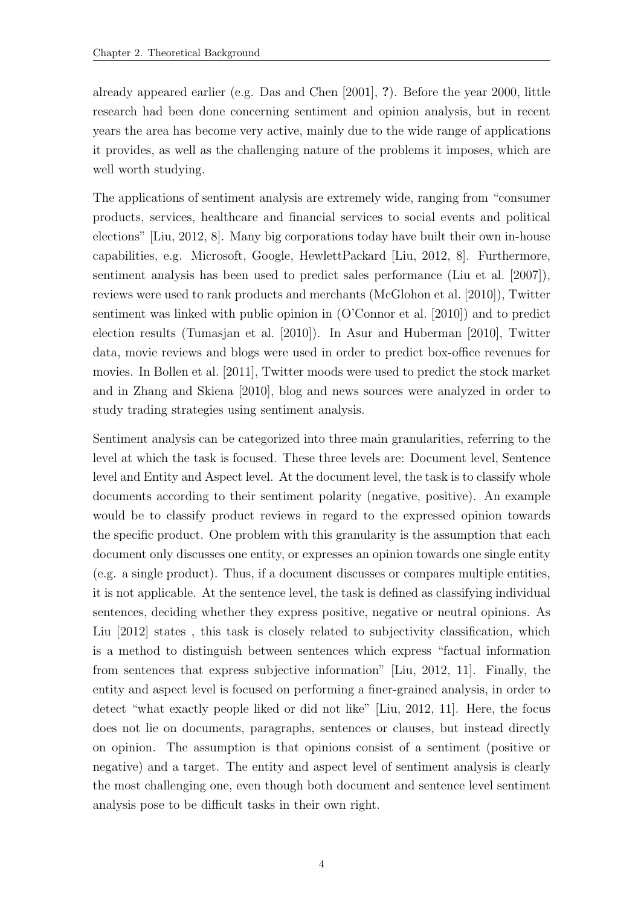already appeared earlier (e.g. [Das and Chen](#page-34-1) [\[2001\]](#page-34-1), ?). Before the year 2000, little research had been done concerning sentiment and opinion analysis, but in recent years the area has become very active, mainly due to the wide range of applications it provides, as well as the challenging nature of the problems it imposes, which are well worth studying.

The applications of sentiment analysis are extremely wide, ranging from "consumer products, services, healthcare and financial services to social events and political elections" [\[Liu,](#page-35-1) [2012,](#page-35-1) 8]. Many big corporations today have built their own in-house capabilities, e.g. Microsoft, Google, HewlettPackard [\[Liu,](#page-35-1) [2012,](#page-35-1) 8]. Furthermore, sentiment analysis has been used to predict sales performance [\(Liu et al.](#page-35-2) [\[2007\]](#page-35-2)), reviews were used to rank products and merchants [\(McGlohon et al.](#page-35-3) [\[2010\]](#page-35-3)), Twitter sentiment was linked with public opinion in [\(O'Connor et al.](#page-35-4) [\[2010\]](#page-35-4)) and to predict election results [\(Tumasjan et al.](#page-36-0) [\[2010\]](#page-36-0)). In [Asur and Huberman](#page-34-2) [\[2010\]](#page-34-2), Twitter data, movie reviews and blogs were used in order to predict box-office revenues for movies. In [Bollen et al.](#page-34-3) [\[2011\]](#page-34-3), Twitter moods were used to predict the stock market and in [Zhang and Skiena](#page-36-1) [\[2010\]](#page-36-1), blog and news sources were analyzed in order to study trading strategies using sentiment analysis.

Sentiment analysis can be categorized into three main granularities, referring to the level at which the task is focused. These three levels are: Document level, Sentence level and Entity and Aspect level. At the document level, the task is to classify whole documents according to their sentiment polarity (negative, positive). An example would be to classify product reviews in regard to the expressed opinion towards the specific product. One problem with this granularity is the assumption that each document only discusses one entity, or expresses an opinion towards one single entity (e.g. a single product). Thus, if a document discusses or compares multiple entities, it is not applicable. At the sentence level, the task is defined as classifying individual sentences, deciding whether they express positive, negative or neutral opinions. As [Liu](#page-35-1) [\[2012\]](#page-35-1) states , this task is closely related to subjectivity classification, which is a method to distinguish between sentences which express "factual information from sentences that express subjective information" [\[Liu,](#page-35-1) [2012,](#page-35-1) 11]. Finally, the entity and aspect level is focused on performing a finer-grained analysis, in order to detect "what exactly people liked or did not like" [\[Liu,](#page-35-1) [2012,](#page-35-1) 11]. Here, the focus does not lie on documents, paragraphs, sentences or clauses, but instead directly on opinion. The assumption is that opinions consist of a sentiment (positive or negative) and a target. The entity and aspect level of sentiment analysis is clearly the most challenging one, even though both document and sentence level sentiment analysis pose to be difficult tasks in their own right.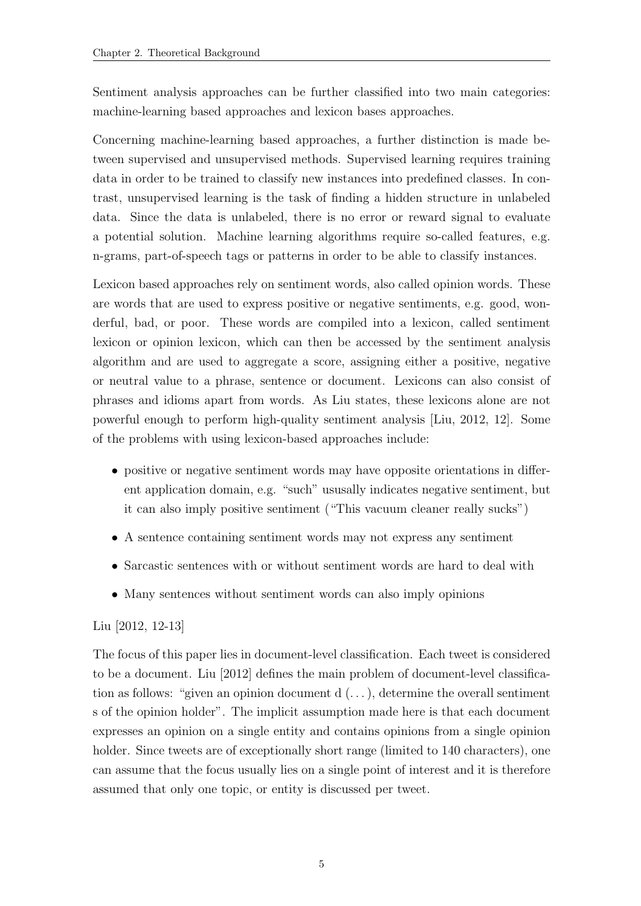Sentiment analysis approaches can be further classified into two main categories: machine-learning based approaches and lexicon bases approaches.

Concerning machine-learning based approaches, a further distinction is made between supervised and unsupervised methods. Supervised learning requires training data in order to be trained to classify new instances into predefined classes. In contrast, unsupervised learning is the task of finding a hidden structure in unlabeled data. Since the data is unlabeled, there is no error or reward signal to evaluate a potential solution. Machine learning algorithms require so-called features, e.g. n-grams, part-of-speech tags or patterns in order to be able to classify instances.

Lexicon based approaches rely on sentiment words, also called opinion words. These are words that are used to express positive or negative sentiments, e.g. good, wonderful, bad, or poor. These words are compiled into a lexicon, called sentiment lexicon or opinion lexicon, which can then be accessed by the sentiment analysis algorithm and are used to aggregate a score, assigning either a positive, negative or neutral value to a phrase, sentence or document. Lexicons can also consist of phrases and idioms apart from words. As [Liu](#page-35-1) states, these lexicons alone are not powerful enough to perform high-quality sentiment analysis [\[Liu,](#page-35-1) [2012,](#page-35-1) 12]. Some of the problems with using lexicon-based approaches include:

- positive or negative sentiment words may have opposite orientations in different application domain, e.g. "such" ususally indicates negative sentiment, but it can also imply positive sentiment ("This vacuum cleaner really sucks")
- A sentence containing sentiment words may not express any sentiment
- Sarcastic sentences with or without sentiment words are hard to deal with
- Many sentences without sentiment words can also imply opinions

#### [Liu](#page-35-1) [\[2012,](#page-35-1) 12-13]

The focus of this paper lies in document-level classification. Each tweet is considered to be a document. [Liu](#page-35-1) [\[2012\]](#page-35-1) defines the main problem of document-level classification as follows: "given an opinion document  $d(\ldots)$ , determine the overall sentiment s of the opinion holder". The implicit assumption made here is that each document expresses an opinion on a single entity and contains opinions from a single opinion holder. Since tweets are of exceptionally short range (limited to 140 characters), one can assume that the focus usually lies on a single point of interest and it is therefore assumed that only one topic, or entity is discussed per tweet.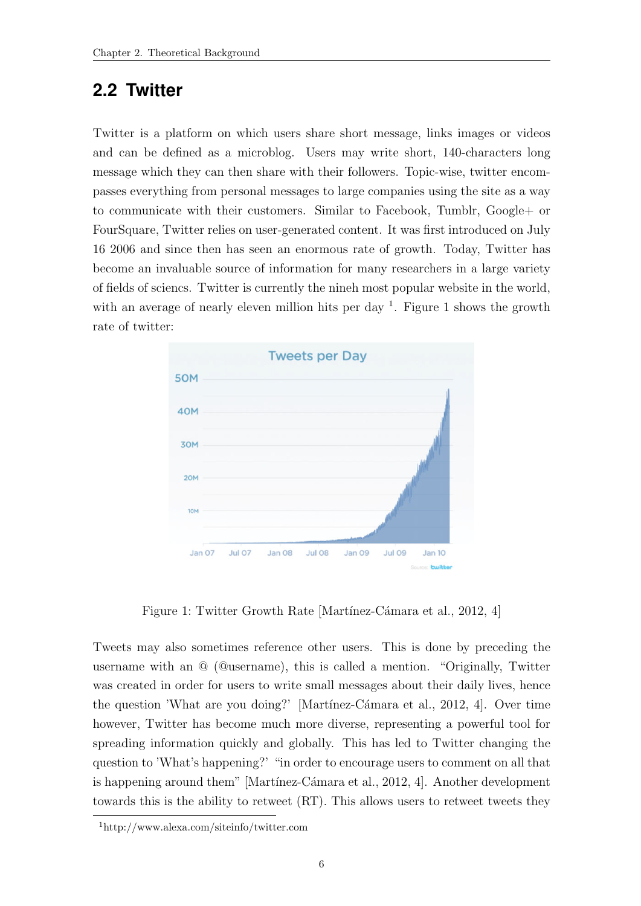### <span id="page-13-0"></span>**2.2 Twitter**

Twitter is a platform on which users share short message, links images or videos and can be defined as a microblog. Users may write short, 140-characters long message which they can then share with their followers. Topic-wise, twitter encompasses everything from personal messages to large companies using the site as a way to communicate with their customers. Similar to Facebook, Tumblr, Google+ or FourSquare, Twitter relies on user-generated content. It was first introduced on July 16 2006 and since then has seen an enormous rate of growth. Today, Twitter has become an invaluable source of information for many researchers in a large variety of fields of sciencs. Twitter is currently the nineh most popular website in the world, with an average of nearly eleven million hits per day  $^1$  $^1$ . Figure 1 shows the growth rate of twitter:



Figure 1: Twitter Growth Rate [Martínez-Cámara et al., [2012,](#page-35-5) 4]

<span id="page-13-1"></span>Tweets may also sometimes reference other users. This is done by preceding the username with an @ (@username), this is called a mention. "Originally, Twitter was created in order for users to write small messages about their daily lives, hence the question 'What are you doing?' [Martínez-Cámara et al., [2012,](#page-35-5) 4]. Over time however, Twitter has become much more diverse, representing a powerful tool for spreading information quickly and globally. This has led to Twitter changing the question to 'What's happening?' "in order to encourage users to comment on all that is happening around them" [Martínez-Cámara et al., [2012,](#page-35-5) 4]. Another development towards this is the ability to retweet (RT). This allows users to retweet tweets they

<sup>1</sup>http://www.alexa.com/siteinfo/twitter.com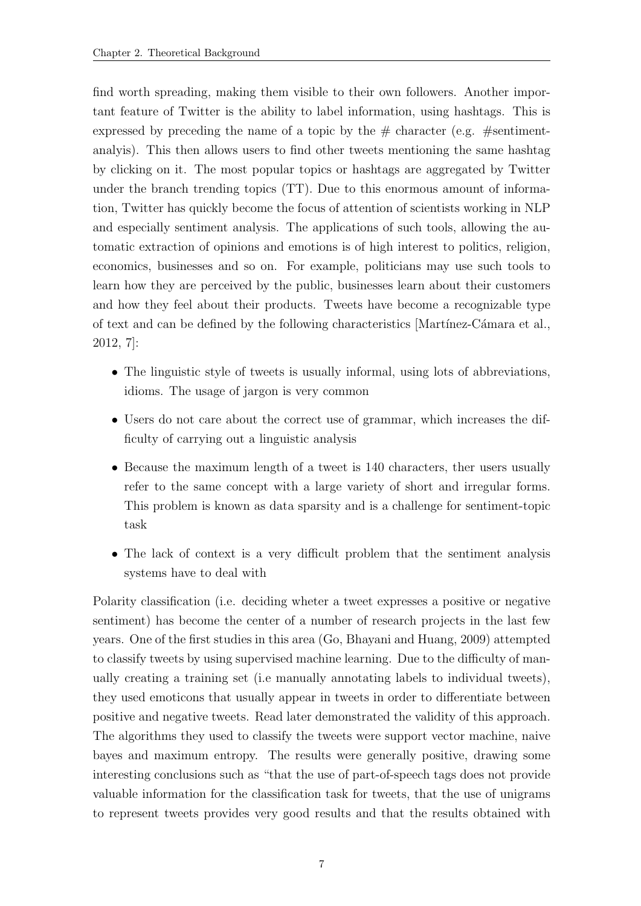find worth spreading, making them visible to their own followers. Another important feature of Twitter is the ability to label information, using hashtags. This is expressed by preceding the name of a topic by the  $\#$  character (e.g.  $\#$ sentimentanalyis). This then allows users to find other tweets mentioning the same hashtag by clicking on it. The most popular topics or hashtags are aggregated by Twitter under the branch trending topics (TT). Due to this enormous amount of information, Twitter has quickly become the focus of attention of scientists working in NLP and especially sentiment analysis. The applications of such tools, allowing the automatic extraction of opinions and emotions is of high interest to politics, religion, economics, businesses and so on. For example, politicians may use such tools to learn how they are perceived by the public, businesses learn about their customers and how they feel about their products. Tweets have become a recognizable type of text and can be defined by the following characteristics [Martínez-Cámara et al., [2012,](#page-35-5) 7]:

- The linguistic style of tweets is usually informal, using lots of abbreviations, idioms. The usage of jargon is very common
- Users do not care about the correct use of grammar, which increases the difficulty of carrying out a linguistic analysis
- Because the maximum length of a tweet is 140 characters, ther users usually refer to the same concept with a large variety of short and irregular forms. This problem is known as data sparsity and is a challenge for sentiment-topic task
- The lack of context is a very difficult problem that the sentiment analysis systems have to deal with

Polarity classification (i.e. deciding wheter a tweet expresses a positive or negative sentiment) has become the center of a number of research projects in the last few years. One of the first studies in this area (Go, Bhayani and Huang, 2009) attempted to classify tweets by using supervised machine learning. Due to the difficulty of manually creating a training set (i.e manually annotating labels to individual tweets), they used emoticons that usually appear in tweets in order to differentiate between positive and negative tweets. [Read](#page-35-6) later demonstrated the validity of this approach. The algorithms they used to classify the tweets were support vector machine, naive bayes and maximum entropy. The results were generally positive, drawing some interesting conclusions such as "that the use of part-of-speech tags does not provide valuable information for the classification task for tweets, that the use of unigrams to represent tweets provides very good results and that the results obtained with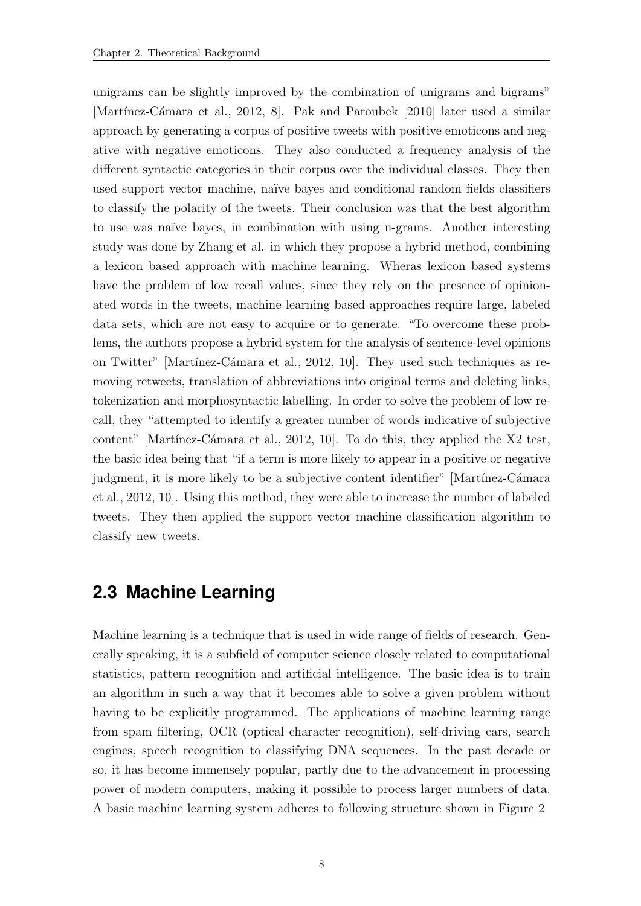unigrams can be slightly improved by the combination of unigrams and bigrams" [Martínez-Cámara et al., [2012,](#page-35-5) 8]. [Pak and Paroubek](#page-35-7) [\[2010\]](#page-35-7) later used a similar approach by generating a corpus of positive tweets with positive emoticons and negative with negative emoticons. They also conducted a frequency analysis of the different syntactic categories in their corpus over the individual classes. They then used support vector machine, naïve bayes and conditional random fields classifiers to classify the polarity of the tweets. Their conclusion was that the best algorithm to use was naïve bayes, in combination with using n-grams. Another interesting study was done by [Zhang et al.](#page-36-2) in which they propose a hybrid method, combining a lexicon based approach with machine learning. Wheras lexicon based systems have the problem of low recall values, since they rely on the presence of opinionated words in the tweets, machine learning based approaches require large, labeled data sets, which are not easy to acquire or to generate. "To overcome these problems, the authors propose a hybrid system for the analysis of sentence-level opinions on Twitter" [Martínez-Cámara et al., [2012,](#page-35-5) 10]. They used such techniques as removing retweets, translation of abbreviations into original terms and deleting links, tokenization and morphosyntactic labelling. In order to solve the problem of low recall, they "attempted to identify a greater number of words indicative of subjective content" [Martínez-Cámara et al., [2012,](#page-35-5) 10]. To do this, they applied the  $X2$  test, the basic idea being that "if a term is more likely to appear in a positive or negative judgment, it is more likely to be a subjective content identifier" [Martínez-Cámara [et al.,](#page-35-5) [2012,](#page-35-5) 10]. Using this method, they were able to increase the number of labeled tweets. They then applied the support vector machine classification algorithm to classify new tweets.

### <span id="page-15-0"></span>**2.3 Machine Learning**

Machine learning is a technique that is used in wide range of fields of research. Generally speaking, it is a subfield of computer science closely related to computational statistics, pattern recognition and artificial intelligence. The basic idea is to train an algorithm in such a way that it becomes able to solve a given problem without having to be explicitly programmed. The applications of machine learning range from spam filtering, OCR (optical character recognition), self-driving cars, search engines, speech recognition to classifying DNA sequences. In the past decade or so, it has become immensely popular, partly due to the advancement in processing power of modern computers, making it possible to process larger numbers of data. A basic machine learning system adheres to following structure shown in Figure [2](#page-16-0)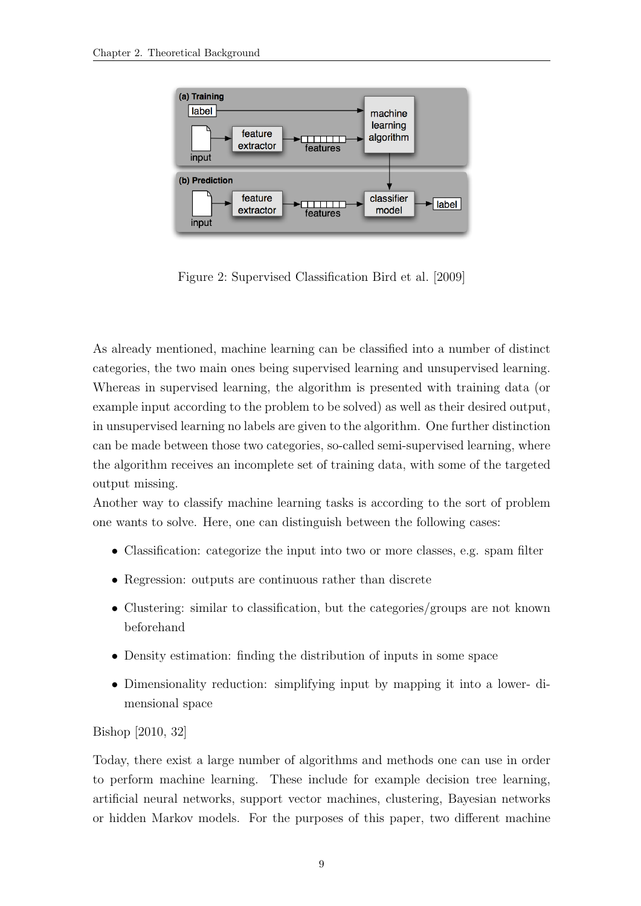

<span id="page-16-0"></span>Figure 2: Supervised Classification [Bird et al.](#page-34-4) [\[2009\]](#page-34-4)

As already mentioned, machine learning can be classified into a number of distinct categories, the two main ones being supervised learning and unsupervised learning. Whereas in supervised learning, the algorithm is presented with training data (or example input according to the problem to be solved) as well as their desired output, in unsupervised learning no labels are given to the algorithm. One further distinction can be made between those two categories, so-called semi-supervised learning, where the algorithm receives an incomplete set of training data, with some of the targeted output missing.

Another way to classify machine learning tasks is according to the sort of problem one wants to solve. Here, one can distinguish between the following cases:

- Classification: categorize the input into two or more classes, e.g. spam filter
- Regression: outputs are continuous rather than discrete
- Clustering: similar to classification, but the categories/groups are not known beforehand
- Density estimation: finding the distribution of inputs in some space
- Dimensionality reduction: simplifying input by mapping it into a lower- dimensional space

#### [Bishop](#page-34-5) [\[2010,](#page-34-5) 32]

Today, there exist a large number of algorithms and methods one can use in order to perform machine learning. These include for example decision tree learning, artificial neural networks, support vector machines, clustering, Bayesian networks or hidden Markov models. For the purposes of this paper, two different machine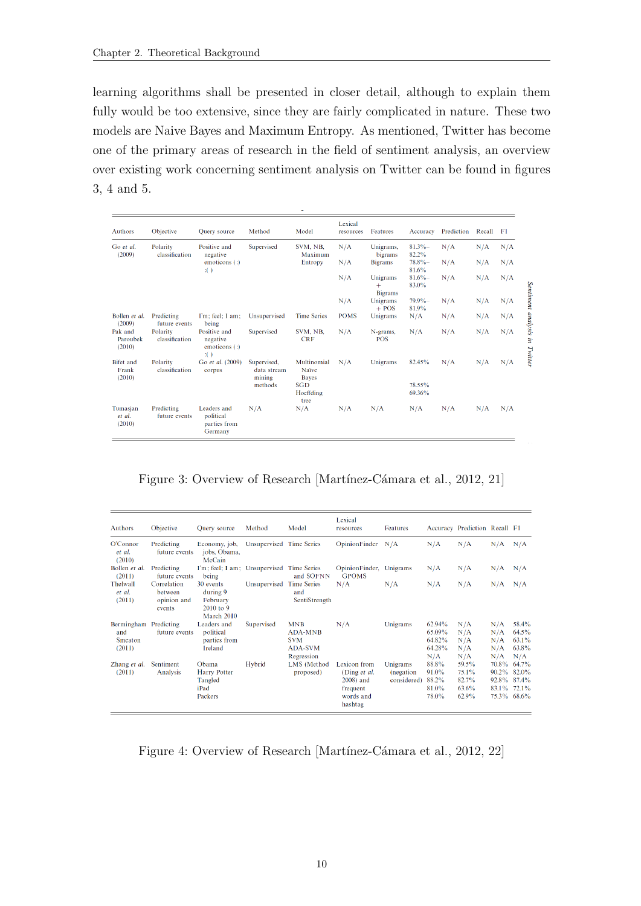learning algorithms shall be presented in closer detail, although to explain them fully would be too extensive, since they are fairly complicated in nature. These two models are Naive Bayes and Maximum Entropy. As mentioned, Twitter has become one of the primary areas of research in the field of sentiment analysis, an overview over existing work concerning sentiment analysis on Twitter can be found in figures [3,](#page-17-0) [4](#page-17-1) and [5.](#page-18-1)

| <b>Authors</b>                      | Objective                   | <b>Ouery</b> source                                          | Method                               | Model                           | Lexical<br>resources | Features                          | Accuracy            | Prediction | Recall | F1  |
|-------------------------------------|-----------------------------|--------------------------------------------------------------|--------------------------------------|---------------------------------|----------------------|-----------------------------------|---------------------|------------|--------|-----|
| Go et al.<br>(2009)                 | Polarity<br>classification  | Positive and<br>negative                                     | Supervised                           | SVM, NB.<br>Maximum             | N/A                  | Unigrams,<br>bigrams              | 81.3%<br>82.2%      | N/A        | N/A    | N/A |
|                                     |                             | emoticons $($ :)<br>$\mathbf{H}$                             |                                      | Entropy                         | N/A                  | <b>Bigrams</b>                    | $78.8\%$ -<br>81.6% | N/A        | N/A    | N/A |
|                                     |                             |                                                              |                                      |                                 | N/A                  | Unigrams<br>$+$<br><b>Bigrams</b> | $81.6\%$<br>83.0%   | N/A        | N/A    | N/A |
|                                     |                             |                                                              |                                      |                                 | N/A                  | Unigrams<br>$+$ POS               | $79.9\%$<br>81.9%   | N/A        | N/A    | N/A |
| Bollen et al.<br>(2009)             | Predicting<br>future events | I'm: feel: I am:<br>being                                    | Unsupervised                         | <b>Time Series</b>              | <b>POMS</b>          | Unigrams                          | N/A                 | N/A        | N/A    | N/A |
| Pak and<br>Paroubek<br>(2010)       | Polarity<br>classification  | Positive and<br>negative<br>emoticons $($ :)<br>$\mathbf{H}$ | Supervised                           | SVM, NB.<br><b>CRF</b>          | N/A                  | N-grams,<br><b>POS</b>            | N/A                 | N/A        | N/A    | N/A |
| <b>Bifet</b> and<br>Frank<br>(2010) | Polarity<br>classification  | Go et al. (2009)<br>corpus                                   | Supervised,<br>data stream<br>mining | Multinomial<br>Naïve<br>Bayes   | N/A                  | Unigrams                          | 82.45%              | N/A        | N/A    | N/A |
|                                     |                             |                                                              | methods                              | <b>SGD</b><br>Hoeffding<br>tree |                      |                                   | 78.55%<br>69.36%    |            |        |     |
| Tumasjan<br>et al.<br>(2010)        | Predicting<br>future events | Leaders and<br>political<br>parties from<br>Germany          | N/A                                  | N/A                             | N/A                  | N/A                               | N/A                 | N/A        | N/A    | N/A |

<span id="page-17-0"></span>Figure 3: Overview of Research [Martínez-Cámara et al., [2012,](#page-35-5) 21]

| <b>Authors</b>                         | Objective                                       | <b>Ouery</b> source                                            | Method                   | Model                                                                      | Lexical<br>resources                                                          | Features                              |                                             | Accuracy Prediction Recall F1             |                                                    |                                            |
|----------------------------------------|-------------------------------------------------|----------------------------------------------------------------|--------------------------|----------------------------------------------------------------------------|-------------------------------------------------------------------------------|---------------------------------------|---------------------------------------------|-------------------------------------------|----------------------------------------------------|--------------------------------------------|
| O'Connor<br>et al.<br>(2010)           | Predicting<br>future events                     | Economy, job,<br>jobs, Obama,<br>McCain                        | Unsupervised Time Series |                                                                            | OpinionFinder N/A                                                             |                                       | N/A                                         | N/A                                       | N/A                                                | N/A                                        |
| Bollen et al.<br>(2011)                | Predicting<br>future events                     | I'm; feel; I am; Unsupervised Time Series<br>being             |                          | and SOFNN                                                                  | OpinionFinder,<br><b>GPOMS</b>                                                | Unigrams                              | N/A                                         | N/A                                       | N/A                                                | N/A                                        |
| Thelwall<br>et al.<br>(2011)           | Correlation<br>between<br>opinion and<br>events | 30 events<br>during 9<br>February<br>$2010$ to 9<br>March 2010 | Unsupervised Time Series | and<br>SentiStrength                                                       | N/A                                                                           | N/A                                   | N/A                                         | N/A                                       | N/A                                                | N/A                                        |
| Bermingham<br>and<br>Smeaton<br>(2011) | Predicting<br>future events                     | Leaders and<br>political<br>parties from<br>Ireland            | Supervised               | <b>MNB</b><br><b>ADA-MNB</b><br><b>SVM</b><br><b>ADA-SVM</b><br>Regression | N/A                                                                           | Unigrams                              | 62.94%<br>65.09%<br>64.82%<br>64.28%<br>N/A | N/A<br>N/A<br>N/A<br>N/A<br>N/A           | N/A<br>N/A<br>N/A<br>N/A<br>N/A                    | 58.4%<br>$64.5\%$<br>63.1%<br>63.8%<br>N/A |
| Zhang et al.<br>(2011)                 | Sentiment<br>Analysis                           | Obama<br>Harry Potter<br>Tangled<br>iPad<br>Packers            | Hybrid                   | LMS (Method<br>proposed)                                                   | Lexicon from<br>(Ding et al.<br>2008) and<br>frequent<br>words and<br>hashtag | Unigrams<br>(negation)<br>considered) | 88.8%<br>91.0%<br>88.2%<br>81.0%<br>78.0%   | 59.5%<br>75.1%<br>82.7%<br>63.6%<br>62.9% | 70.8%<br>92.8% 87.4%<br>83.1% 72.1%<br>75.3% 68.6% | 64.7%<br>90.2% 82.0%                       |

<span id="page-17-1"></span>Figure 4: Overview of Research [Martínez-Cámara et al., [2012,](#page-35-5) 22]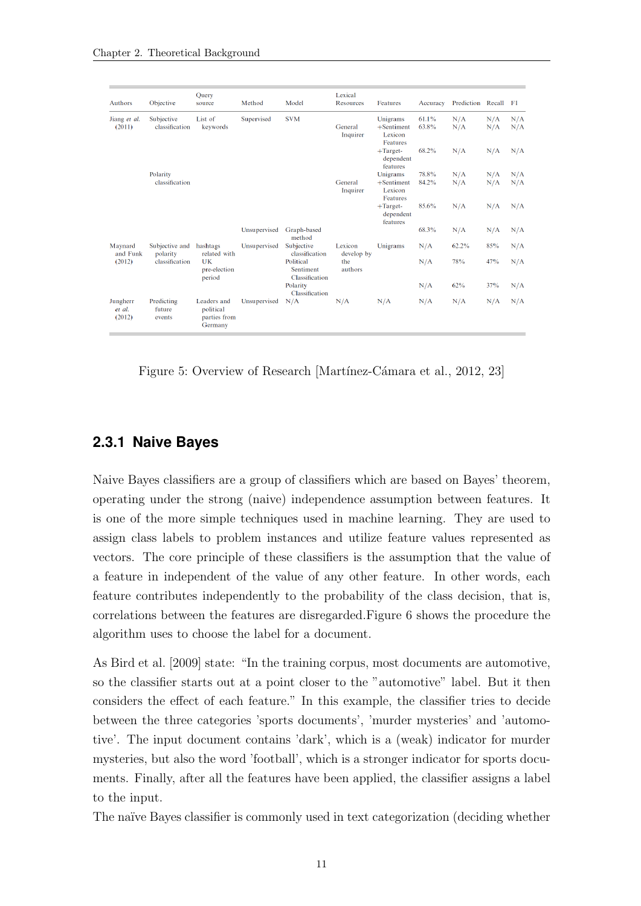| <b>Authors</b>               | Objective                      | Ouery<br>source                                     | Method                      | Model                        | Lexical<br>Resources  | Features                                         | Accuracy                             | Prediction Recall F1 |            |            |
|------------------------------|--------------------------------|-----------------------------------------------------|-----------------------------|------------------------------|-----------------------|--------------------------------------------------|--------------------------------------|----------------------|------------|------------|
| Jiang et al.<br>(2011)       | Subjective<br>classification   | List of<br>keywords                                 | Supervised                  | <b>SVM</b>                   | General<br>Inquirer   | Unigrams<br>$+$ Sentiment<br>Lexicon<br>Features | 61.1%<br>63.8%                       | N/A<br>N/A           | N/A<br>N/A | N/A<br>N/A |
|                              |                                |                                                     |                             |                              |                       | $+Target-$<br>dependent<br>features              | 68.2%                                | N/A                  | N/A        | N/A        |
|                              | Polarity                       |                                                     |                             |                              |                       | Unigrams                                         | 78.8%                                | N/A                  | N/A        | N/A        |
|                              | classification                 |                                                     |                             |                              | General<br>Inquirer   | $+$ Sentiment<br>Lexicon<br>Features             | 84.2%                                | N/A                  | N/A        | N/A        |
|                              |                                |                                                     |                             |                              |                       |                                                  | $+$ Target-<br>dependent<br>features | 85.6%                | N/A        | N/A        |
|                              |                                |                                                     | Unsupervised                | Graph-based<br>method        |                       |                                                  | 68.3%                                | N/A                  | N/A        | N/A        |
| Maynard<br>and Funk          | Subjective and<br>polarity     | hashtags<br>related with                            | Unsupervised                | Subjective<br>classification | Lexicon<br>develop by | Unigrams                                         | N/A                                  | $62.2\%$             | 85%        | N/A        |
| (2012)                       | classification                 | UK<br>Political<br>pre-election<br>period           | Sentiment<br>Classification | the<br>authors               |                       | N/A                                              | 78%                                  | 47%                  | N/A        |            |
|                              |                                |                                                     |                             | Polarity<br>Classification   |                       |                                                  | N/A                                  | 62%                  | 37%        | N/A        |
| Jungherr<br>et al.<br>(2012) | Predicting<br>future<br>events | Leaders and<br>political<br>parties from<br>Germany | Unsupervised                | N/A                          | N/A                   | N/A                                              | N/A                                  | N/A                  | N/A        | N/A        |

<span id="page-18-1"></span>Figure 5: Overview of Research [Martínez-Cámara et al., [2012,](#page-35-5) 23]

#### <span id="page-18-0"></span>**2.3.1 Naive Bayes**

Naive Bayes classifiers are a group of classifiers which are based on Bayes' theorem, operating under the strong (naive) independence assumption between features. It is one of the more simple techniques used in machine learning. They are used to assign class labels to problem instances and utilize feature values represented as vectors. The core principle of these classifiers is the assumption that the value of a feature in independent of the value of any other feature. In other words, each feature contributes independently to the probability of the class decision, that is, correlations between the features are disregarded.Figure [6](#page-19-1) shows the procedure the algorithm uses to choose the label for a document.

As [Bird et al.](#page-34-4) [\[2009\]](#page-34-4) state: "In the training corpus, most documents are automotive, so the classifier starts out at a point closer to the "automotive" label. But it then considers the effect of each feature." In this example, the classifier tries to decide between the three categories 'sports documents', 'murder mysteries' and 'automotive'. The input document contains 'dark', which is a (weak) indicator for murder mysteries, but also the word 'football', which is a stronger indicator for sports documents. Finally, after all the features have been applied, the classifier assigns a label to the input.

The naïve Bayes classifier is commonly used in text categorization (deciding whether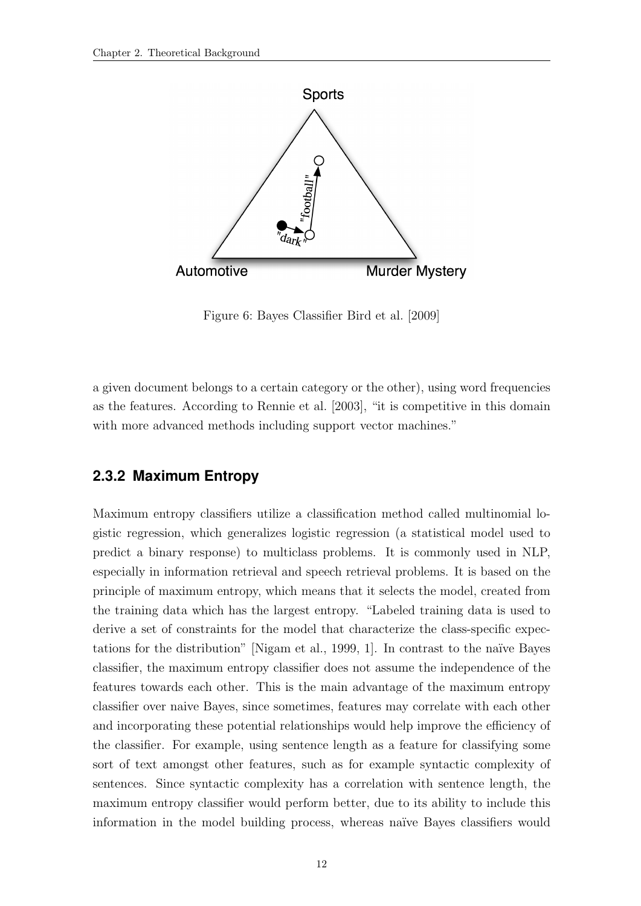

Figure 6: Bayes Classifier [Bird et al.](#page-34-4) [\[2009\]](#page-34-4)

<span id="page-19-1"></span>a given document belongs to a certain category or the other), using word frequencies as the features. According to [Rennie et al.](#page-36-3) [\[2003\]](#page-36-3), "it is competitive in this domain with more advanced methods including support vector machines."

#### <span id="page-19-0"></span>**2.3.2 Maximum Entropy**

Maximum entropy classifiers utilize a classification method called multinomial logistic regression, which generalizes logistic regression (a statistical model used to predict a binary response) to multiclass problems. It is commonly used in NLP, especially in information retrieval and speech retrieval problems. It is based on the principle of maximum entropy, which means that it selects the model, created from the training data which has the largest entropy. "Labeled training data is used to derive a set of constraints for the model that characterize the class-specific expec-tations for the distribution" [\[Nigam et al.,](#page-35-8) [1999,](#page-35-8) 1]. In contrast to the naïve Bayes classifier, the maximum entropy classifier does not assume the independence of the features towards each other. This is the main advantage of the maximum entropy classifier over naive Bayes, since sometimes, features may correlate with each other and incorporating these potential relationships would help improve the efficiency of the classifier. For example, using sentence length as a feature for classifying some sort of text amongst other features, such as for example syntactic complexity of sentences. Since syntactic complexity has a correlation with sentence length, the maximum entropy classifier would perform better, due to its ability to include this information in the model building process, whereas naïve Bayes classifiers would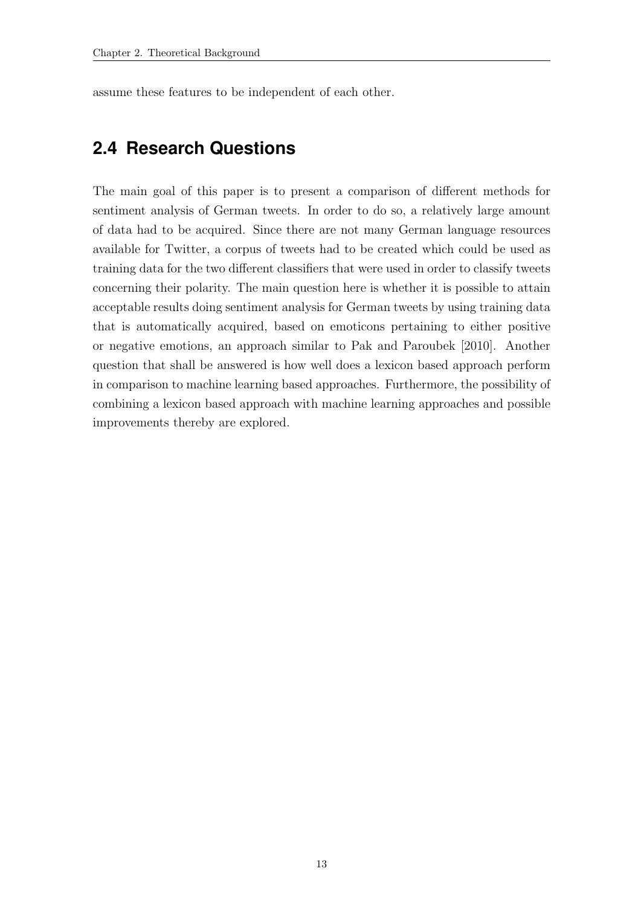assume these features to be independent of each other.

### <span id="page-20-0"></span>**2.4 Research Questions**

The main goal of this paper is to present a comparison of different methods for sentiment analysis of German tweets. In order to do so, a relatively large amount of data had to be acquired. Since there are not many German language resources available for Twitter, a corpus of tweets had to be created which could be used as training data for the two different classifiers that were used in order to classify tweets concerning their polarity. The main question here is whether it is possible to attain acceptable results doing sentiment analysis for German tweets by using training data that is automatically acquired, based on emoticons pertaining to either positive or negative emotions, an approach similar to [Pak and Paroubek](#page-35-7) [\[2010\]](#page-35-7). Another question that shall be answered is how well does a lexicon based approach perform in comparison to machine learning based approaches. Furthermore, the possibility of combining a lexicon based approach with machine learning approaches and possible improvements thereby are explored.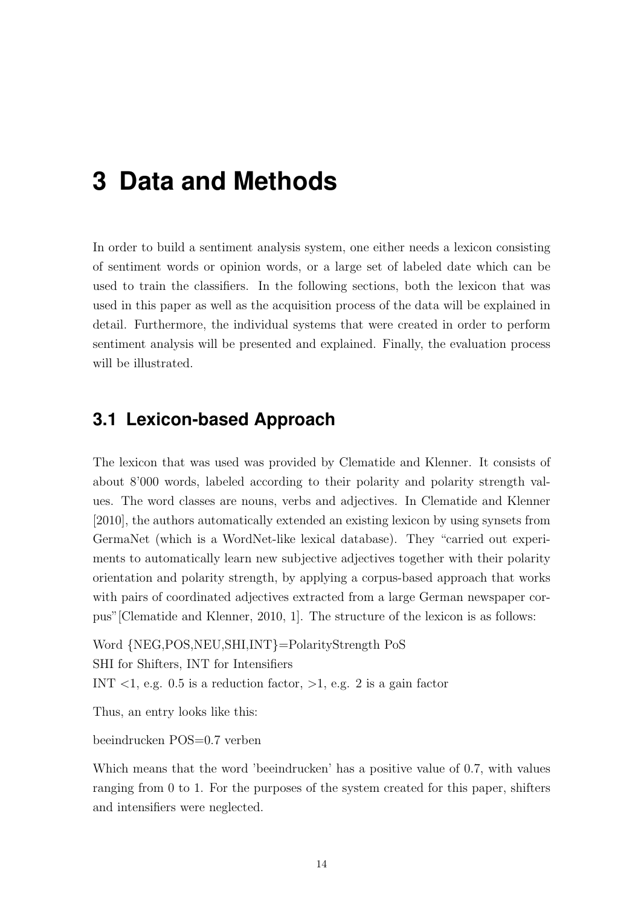## <span id="page-21-0"></span>**3 Data and Methods**

In order to build a sentiment analysis system, one either needs a lexicon consisting of sentiment words or opinion words, or a large set of labeled date which can be used to train the classifiers. In the following sections, both the lexicon that was used in this paper as well as the acquisition process of the data will be explained in detail. Furthermore, the individual systems that were created in order to perform sentiment analysis will be presented and explained. Finally, the evaluation process will be illustrated.

### <span id="page-21-1"></span>**3.1 Lexicon-based Approach**

The lexicon that was used was provided by [Clematide and Klenner.](#page-34-6) It consists of about 8'000 words, labeled according to their polarity and polarity strength values. The word classes are nouns, verbs and adjectives. In [Clematide and Klenner](#page-34-6) [\[2010\]](#page-34-6), the authors automatically extended an existing lexicon by using synsets from GermaNet (which is a WordNet-like lexical database). They "carried out experiments to automatically learn new subjective adjectives together with their polarity orientation and polarity strength, by applying a corpus-based approach that works with pairs of coordinated adjectives extracted from a large German newspaper corpus"[\[Clematide and Klenner,](#page-34-6) [2010,](#page-34-6) 1]. The structure of the lexicon is as follows:

```
Word {NEG,POS,NEU,SHI,INT}=PolarityStrength PoS
SHI for Shifters, INT for Intensifiers
INT <1, e.g. 0.5 is a reduction factor, >1, e.g. 2 is a gain factor
```
Thus, an entry looks like this:

beeindrucken POS=0.7 verben

Which means that the word 'beeindrucken' has a positive value of 0.7, with values ranging from 0 to 1. For the purposes of the system created for this paper, shifters and intensifiers were neglected.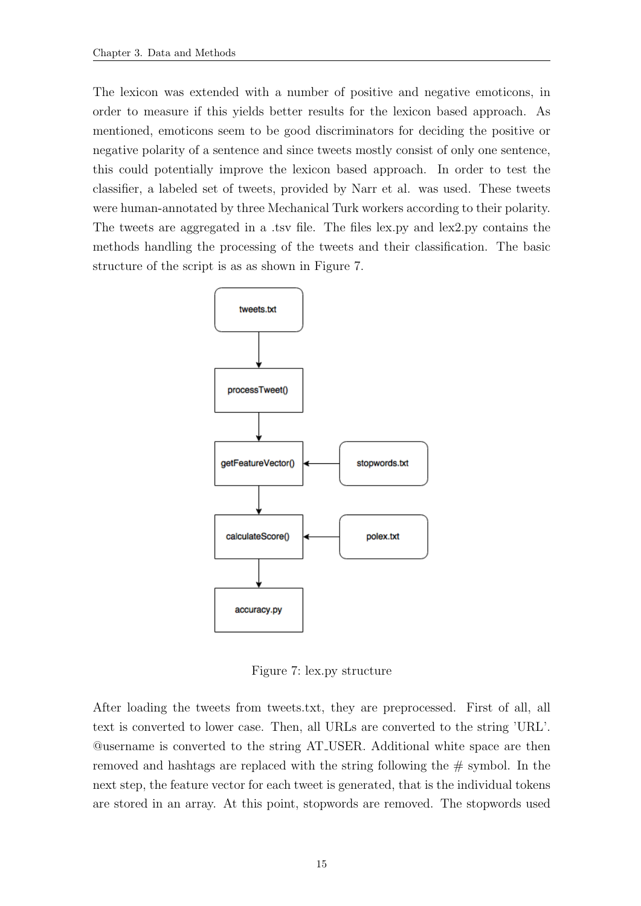The lexicon was extended with a number of positive and negative emoticons, in order to measure if this yields better results for the lexicon based approach. As mentioned, emoticons seem to be good discriminators for deciding the positive or negative polarity of a sentence and since tweets mostly consist of only one sentence, this could potentially improve the lexicon based approach. In order to test the classifier, a labeled set of tweets, provided by [Narr et al.](#page-35-9) was used. These tweets were human-annotated by three Mechanical Turk workers according to their polarity. The tweets are aggregated in a .tsv file. The files lex.py and lex2.py contains the methods handling the processing of the tweets and their classification. The basic structure of the script is as as shown in Figure [7.](#page-22-0)



Figure 7: lex.py structure

<span id="page-22-0"></span>After loading the tweets from tweets.txt, they are preprocessed. First of all, all text is converted to lower case. Then, all URLs are converted to the string 'URL'. @username is converted to the string AT USER. Additional white space are then removed and hashtags are replaced with the string following the # symbol. In the next step, the feature vector for each tweet is generated, that is the individual tokens are stored in an array. At this point, stopwords are removed. The stopwords used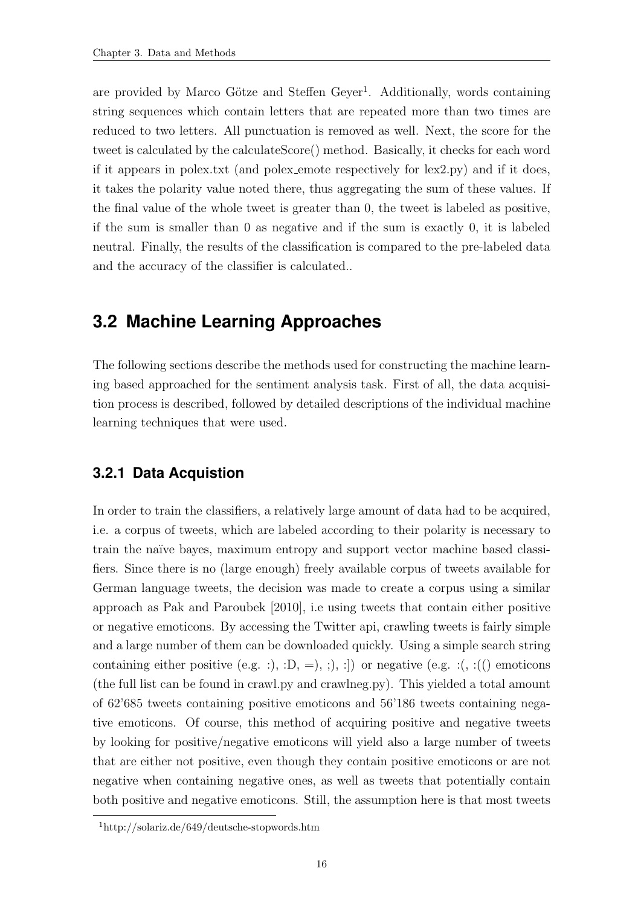are provided by Marco Götze and Steffen Geyer<sup>1</sup>. Additionally, words containing string sequences which contain letters that are repeated more than two times are reduced to two letters. All punctuation is removed as well. Next, the score for the tweet is calculated by the calculateScore() method. Basically, it checks for each word if it appears in polex.txt (and polex emote respectively for lex2.py) and if it does, it takes the polarity value noted there, thus aggregating the sum of these values. If the final value of the whole tweet is greater than 0, the tweet is labeled as positive, if the sum is smaller than 0 as negative and if the sum is exactly 0, it is labeled neutral. Finally, the results of the classification is compared to the pre-labeled data and the accuracy of the classifier is calculated..

### <span id="page-23-0"></span>**3.2 Machine Learning Approaches**

The following sections describe the methods used for constructing the machine learning based approached for the sentiment analysis task. First of all, the data acquisition process is described, followed by detailed descriptions of the individual machine learning techniques that were used.

#### <span id="page-23-1"></span>**3.2.1 Data Acquistion**

In order to train the classifiers, a relatively large amount of data had to be acquired, i.e. a corpus of tweets, which are labeled according to their polarity is necessary to train the naïve bayes, maximum entropy and support vector machine based classifiers. Since there is no (large enough) freely available corpus of tweets available for German language tweets, the decision was made to create a corpus using a similar approach as [Pak and Paroubek](#page-35-7) [\[2010\]](#page-35-7), i.e using tweets that contain either positive or negative emoticons. By accessing the Twitter api, crawling tweets is fairly simple and a large number of them can be downloaded quickly. Using a simple search string containing either positive (e.g. :), :D, =), :), :]) or negative (e.g. :(, :(() emoticons (the full list can be found in crawl.py and crawlneg.py). This yielded a total amount of 62'685 tweets containing positive emoticons and 56'186 tweets containing negative emoticons. Of course, this method of acquiring positive and negative tweets by looking for positive/negative emoticons will yield also a large number of tweets that are either not positive, even though they contain positive emoticons or are not negative when containing negative ones, as well as tweets that potentially contain both positive and negative emoticons. Still, the assumption here is that most tweets

<sup>1</sup>http://solariz.de/649/deutsche-stopwords.htm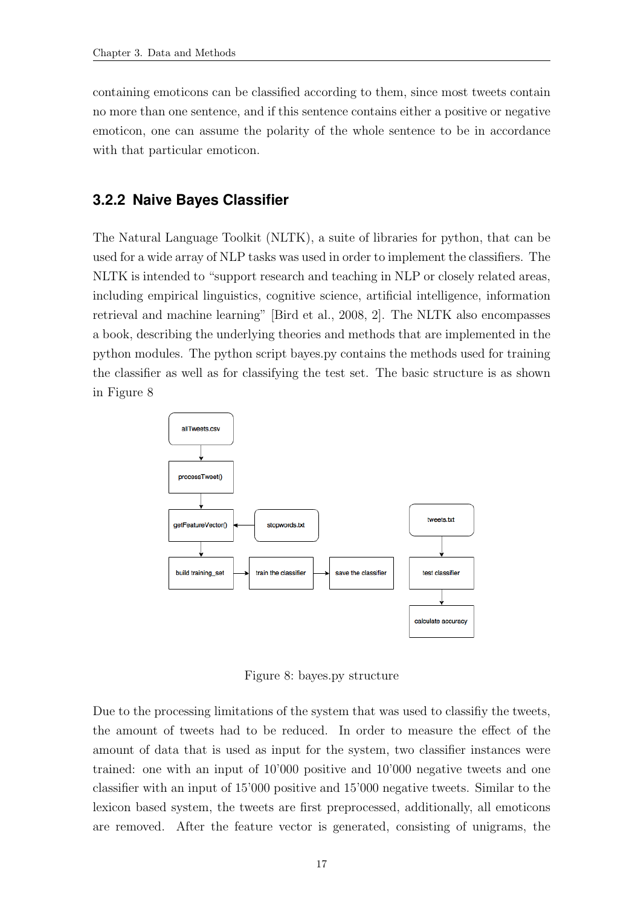containing emoticons can be classified according to them, since most tweets contain no more than one sentence, and if this sentence contains either a positive or negative emoticon, one can assume the polarity of the whole sentence to be in accordance with that particular emoticon.

#### <span id="page-24-0"></span>**3.2.2 Naive Bayes Classifier**

The Natural Language Toolkit (NLTK), a suite of libraries for python, that can be used for a wide array of NLP tasks was used in order to implement the classifiers. The NLTK is intended to "support research and teaching in NLP or closely related areas, including empirical linguistics, cognitive science, artificial intelligence, information retrieval and machine learning" [\[Bird et al.,](#page-34-7) [2008,](#page-34-7) 2]. The NLTK also encompasses a book, describing the underlying theories and methods that are implemented in the python modules. The python script bayes.py contains the methods used for training the classifier as well as for classifying the test set. The basic structure is as shown in Figure [8](#page-24-1)



Figure 8: bayes.py structure

<span id="page-24-1"></span>Due to the processing limitations of the system that was used to classifiy the tweets, the amount of tweets had to be reduced. In order to measure the effect of the amount of data that is used as input for the system, two classifier instances were trained: one with an input of 10'000 positive and 10'000 negative tweets and one classifier with an input of 15'000 positive and 15'000 negative tweets. Similar to the lexicon based system, the tweets are first preprocessed, additionally, all emoticons are removed. After the feature vector is generated, consisting of unigrams, the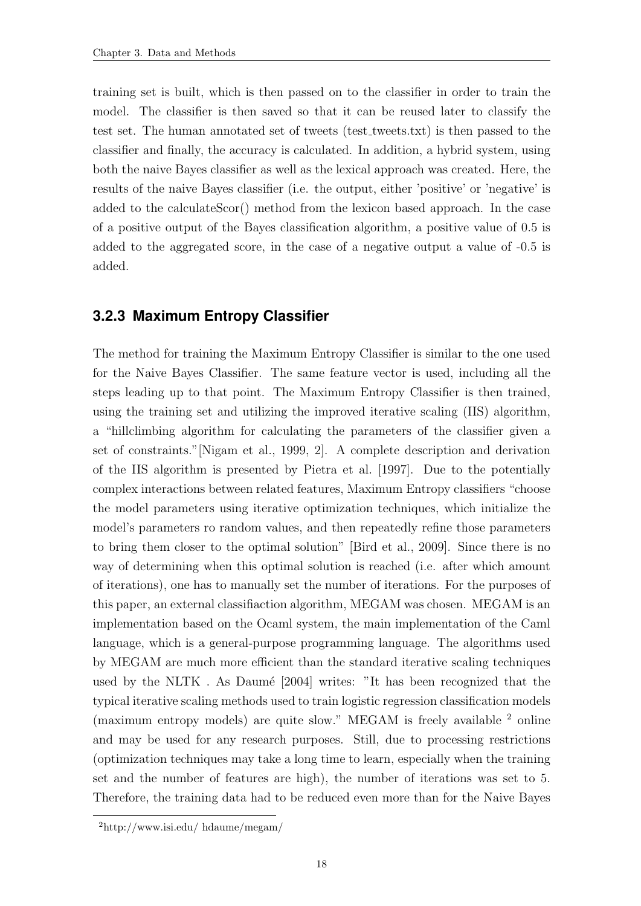training set is built, which is then passed on to the classifier in order to train the model. The classifier is then saved so that it can be reused later to classify the test set. The human annotated set of tweets (test tweets.txt) is then passed to the classifier and finally, the accuracy is calculated. In addition, a hybrid system, using both the naive Bayes classifier as well as the lexical approach was created. Here, the results of the naive Bayes classifier (i.e. the output, either 'positive' or 'negative' is added to the calculateScor() method from the lexicon based approach. In the case of a positive output of the Bayes classification algorithm, a positive value of 0.5 is added to the aggregated score, in the case of a negative output a value of -0.5 is added.

#### <span id="page-25-0"></span>**3.2.3 Maximum Entropy Classifier**

The method for training the Maximum Entropy Classifier is similar to the one used for the Naive Bayes Classifier. The same feature vector is used, including all the steps leading up to that point. The Maximum Entropy Classifier is then trained, using the training set and utilizing the improved iterative scaling (IIS) algorithm, a "hillclimbing algorithm for calculating the parameters of the classifier given a set of constraints."[\[Nigam et al.,](#page-35-8) [1999,](#page-35-8) 2]. A complete description and derivation of the IIS algorithm is presented by [Pietra et al.](#page-35-10) [\[1997\]](#page-35-10). Due to the potentially complex interactions between related features, Maximum Entropy classifiers "choose the model parameters using iterative optimization techniques, which initialize the model's parameters ro random values, and then repeatedly refine those parameters to bring them closer to the optimal solution" [\[Bird et al.,](#page-34-4) [2009\]](#page-34-4). Since there is no way of determining when this optimal solution is reached (i.e. after which amount of iterations), one has to manually set the number of iterations. For the purposes of this paper, an external classifiaction algorithm, MEGAM was chosen. MEGAM is an implementation based on the Ocaml system, the main implementation of the Caml language, which is a general-purpose programming language. The algorithms used by MEGAM are much more efficient than the standard iterative scaling techniques used by the NLTK. As Daumé [\[2004\]](#page-34-8) writes: "It has been recognized that the typical iterative scaling methods used to train logistic regression classification models (maximum entropy models) are quite slow." MEGAM is freely available <sup>2</sup> online and may be used for any research purposes. Still, due to processing restrictions (optimization techniques may take a long time to learn, especially when the training set and the number of features are high), the number of iterations was set to 5. Therefore, the training data had to be reduced even more than for the Naive Bayes

<sup>2</sup>http://www.isi.edu/ hdaume/megam/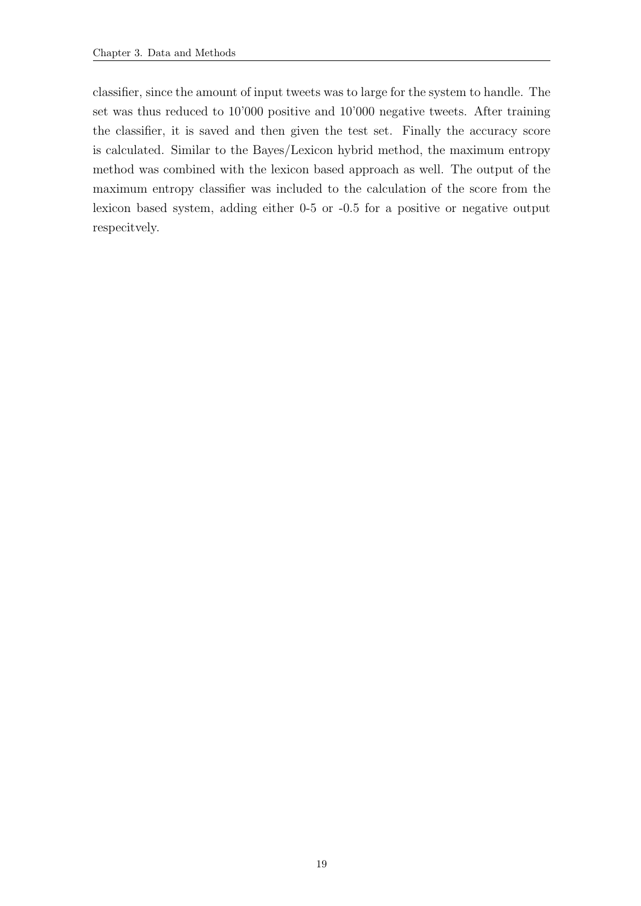classifier, since the amount of input tweets was to large for the system to handle. The set was thus reduced to 10'000 positive and 10'000 negative tweets. After training the classifier, it is saved and then given the test set. Finally the accuracy score is calculated. Similar to the Bayes/Lexicon hybrid method, the maximum entropy method was combined with the lexicon based approach as well. The output of the maximum entropy classifier was included to the calculation of the score from the lexicon based system, adding either 0-5 or -0.5 for a positive or negative output respecitvely.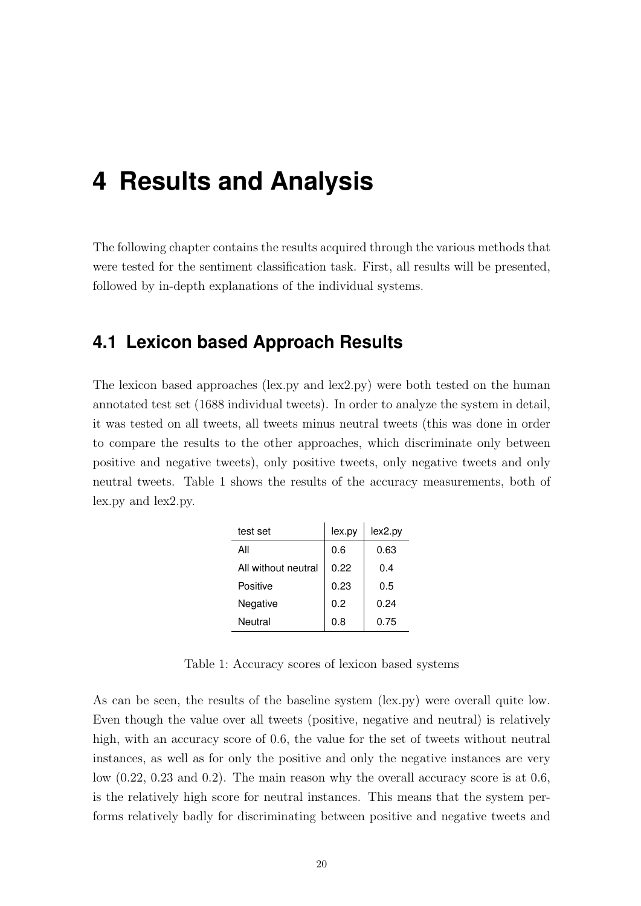## <span id="page-27-0"></span>**4 Results and Analysis**

The following chapter contains the results acquired through the various methods that were tested for the sentiment classification task. First, all results will be presented, followed by in-depth explanations of the individual systems.

### <span id="page-27-1"></span>**4.1 Lexicon based Approach Results**

The lexicon based approaches (lex.py and lex2.py) were both tested on the human annotated test set (1688 individual tweets). In order to analyze the system in detail, it was tested on all tweets, all tweets minus neutral tweets (this was done in order to compare the results to the other approaches, which discriminate only between positive and negative tweets), only positive tweets, only negative tweets and only neutral tweets. Table [1](#page-27-2) shows the results of the accuracy measurements, both of lex.py and lex2.py.

| test set            | lex.py | lex2.py |
|---------------------|--------|---------|
| All                 | 0.6    | 0.63    |
| All without neutral | 0.22   | 0.4     |
| Positive            | 0.23   | 0.5     |
| Negative            | 0.2    | 0.24    |
| Neutral             | 0.8    | 0.75    |

Table 1: Accuracy scores of lexicon based systems

<span id="page-27-2"></span>As can be seen, the results of the baseline system (lex.py) were overall quite low. Even though the value over all tweets (positive, negative and neutral) is relatively high, with an accuracy score of 0.6, the value for the set of tweets without neutral instances, as well as for only the positive and only the negative instances are very low (0.22, 0.23 and 0.2). The main reason why the overall accuracy score is at 0.6, is the relatively high score for neutral instances. This means that the system performs relatively badly for discriminating between positive and negative tweets and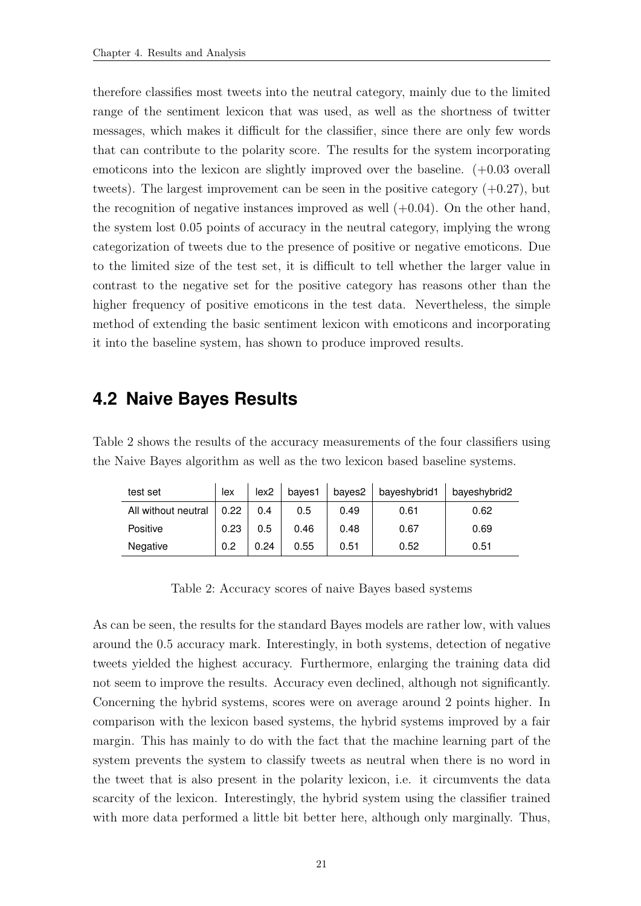therefore classifies most tweets into the neutral category, mainly due to the limited range of the sentiment lexicon that was used, as well as the shortness of twitter messages, which makes it difficult for the classifier, since there are only few words that can contribute to the polarity score. The results for the system incorporating emoticons into the lexicon are slightly improved over the baseline. (+0.03 overall tweets). The largest improvement can be seen in the positive category  $(+0.27)$ , but the recognition of negative instances improved as well  $(+0.04)$ . On the other hand, the system lost 0.05 points of accuracy in the neutral category, implying the wrong categorization of tweets due to the presence of positive or negative emoticons. Due to the limited size of the test set, it is difficult to tell whether the larger value in contrast to the negative set for the positive category has reasons other than the higher frequency of positive emoticons in the test data. Nevertheless, the simple method of extending the basic sentiment lexicon with emoticons and incorporating it into the baseline system, has shown to produce improved results.

#### <span id="page-28-0"></span>**4.2 Naive Bayes Results**

Table [2](#page-28-1) shows the results of the accuracy measurements of the four classifiers using the Naive Bayes algorithm as well as the two lexicon based baseline systems.

| test set            | lex  | lex2 | bayes1 | bayes2 | bayeshybrid1 | bayeshybrid2 |
|---------------------|------|------|--------|--------|--------------|--------------|
| All without neutral | 0.22 | 0.4  | 0.5    | 0.49   | 0.61         | 0.62         |
| Positive            | 0.23 | 0.5  | 0.46   | 0.48   | 0.67         | 0.69         |
| Negative            | 0.2  | 0.24 | 0.55   | 0.51   | 0.52         | 0.51         |

Table 2: Accuracy scores of naive Bayes based systems

<span id="page-28-1"></span>As can be seen, the results for the standard Bayes models are rather low, with values around the 0.5 accuracy mark. Interestingly, in both systems, detection of negative tweets yielded the highest accuracy. Furthermore, enlarging the training data did not seem to improve the results. Accuracy even declined, although not significantly. Concerning the hybrid systems, scores were on average around 2 points higher. In comparison with the lexicon based systems, the hybrid systems improved by a fair margin. This has mainly to do with the fact that the machine learning part of the system prevents the system to classify tweets as neutral when there is no word in the tweet that is also present in the polarity lexicon, i.e. it circumvents the data scarcity of the lexicon. Interestingly, the hybrid system using the classifier trained with more data performed a little bit better here, although only marginally. Thus,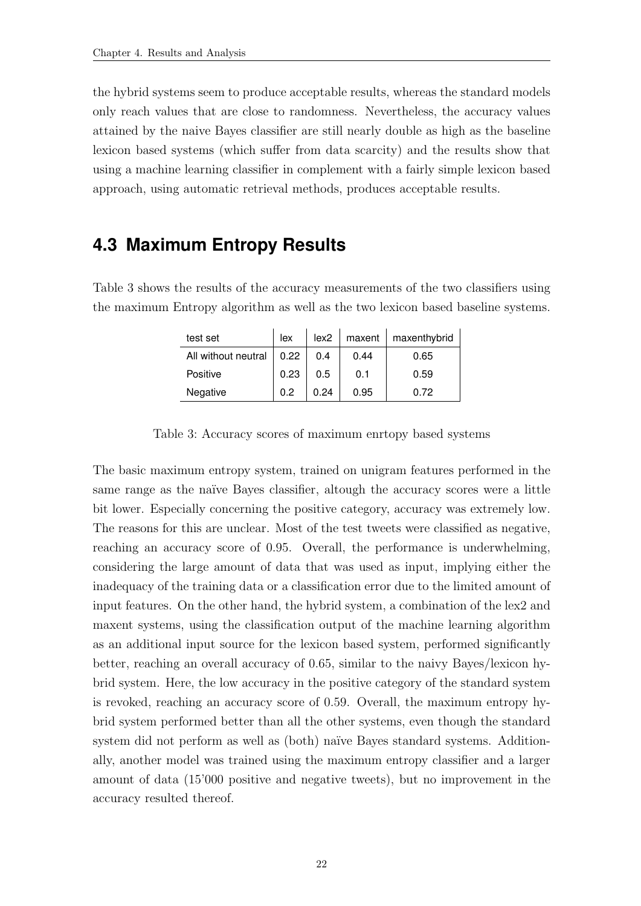the hybrid systems seem to produce acceptable results, whereas the standard models only reach values that are close to randomness. Nevertheless, the accuracy values attained by the naive Bayes classifier are still nearly double as high as the baseline lexicon based systems (which suffer from data scarcity) and the results show that using a machine learning classifier in complement with a fairly simple lexicon based approach, using automatic retrieval methods, produces acceptable results.

### <span id="page-29-0"></span>**4.3 Maximum Entropy Results**

Table [3](#page-29-1) shows the results of the accuracy measurements of the two classifiers using the maximum Entropy algorithm as well as the two lexicon based baseline systems.

| test set            | lex  | lex2 | maxent | maxenthybrid |
|---------------------|------|------|--------|--------------|
| All without neutral | 0.22 | 0.4  | 0.44   | 0.65         |
| Positive            | 0.23 | 0.5  | 0.1    | 0.59         |
| Negative            | 0 2  | 0.24 | 0.95   | 0.72         |

Table 3: Accuracy scores of maximum enrtopy based systems

<span id="page-29-1"></span>The basic maximum entropy system, trained on unigram features performed in the same range as the naïve Bayes classifier, altough the accuracy scores were a little bit lower. Especially concerning the positive category, accuracy was extremely low. The reasons for this are unclear. Most of the test tweets were classified as negative, reaching an accuracy score of 0.95. Overall, the performance is underwhelming, considering the large amount of data that was used as input, implying either the inadequacy of the training data or a classification error due to the limited amount of input features. On the other hand, the hybrid system, a combination of the lex2 and maxent systems, using the classification output of the machine learning algorithm as an additional input source for the lexicon based system, performed significantly better, reaching an overall accuracy of 0.65, similar to the naivy Bayes/lexicon hybrid system. Here, the low accuracy in the positive category of the standard system is revoked, reaching an accuracy score of 0.59. Overall, the maximum entropy hybrid system performed better than all the other systems, even though the standard system did not perform as well as (both) naïve Bayes standard systems. Additionally, another model was trained using the maximum entropy classifier and a larger amount of data (15'000 positive and negative tweets), but no improvement in the accuracy resulted thereof.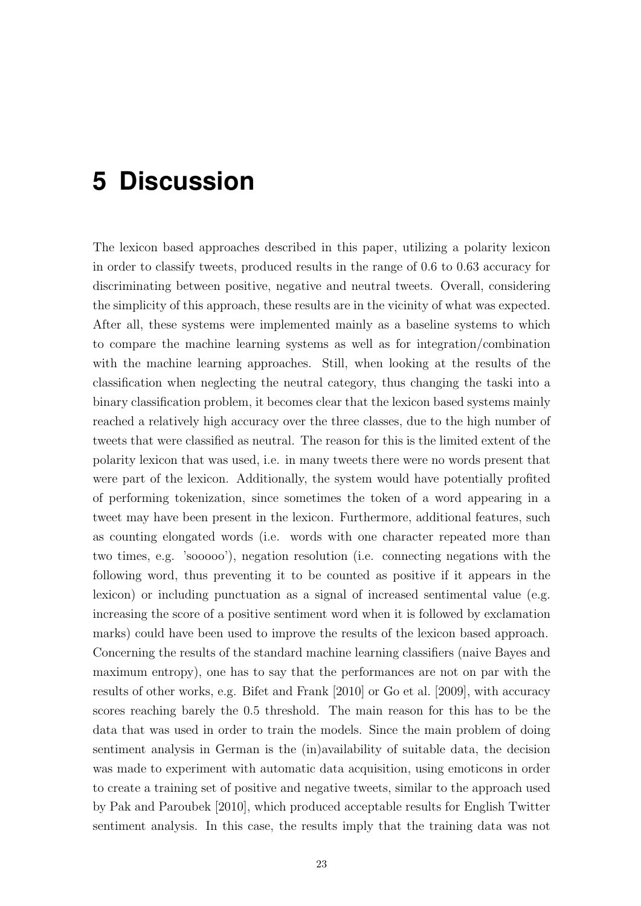## <span id="page-30-0"></span>**5 Discussion**

The lexicon based approaches described in this paper, utilizing a polarity lexicon in order to classify tweets, produced results in the range of 0.6 to 0.63 accuracy for discriminating between positive, negative and neutral tweets. Overall, considering the simplicity of this approach, these results are in the vicinity of what was expected. After all, these systems were implemented mainly as a baseline systems to which to compare the machine learning systems as well as for integration/combination with the machine learning approaches. Still, when looking at the results of the classification when neglecting the neutral category, thus changing the taski into a binary classification problem, it becomes clear that the lexicon based systems mainly reached a relatively high accuracy over the three classes, due to the high number of tweets that were classified as neutral. The reason for this is the limited extent of the polarity lexicon that was used, i.e. in many tweets there were no words present that were part of the lexicon. Additionally, the system would have potentially profited of performing tokenization, since sometimes the token of a word appearing in a tweet may have been present in the lexicon. Furthermore, additional features, such as counting elongated words (i.e. words with one character repeated more than two times, e.g. 'sooooo'), negation resolution (i.e. connecting negations with the following word, thus preventing it to be counted as positive if it appears in the lexicon) or including punctuation as a signal of increased sentimental value (e.g. increasing the score of a positive sentiment word when it is followed by exclamation marks) could have been used to improve the results of the lexicon based approach. Concerning the results of the standard machine learning classifiers (naive Bayes and maximum entropy), one has to say that the performances are not on par with the results of other works, e.g. [Bifet and Frank](#page-34-9) [\[2010\]](#page-34-9) or [Go et al.](#page-35-11) [\[2009\]](#page-35-11), with accuracy scores reaching barely the 0.5 threshold. The main reason for this has to be the data that was used in order to train the models. Since the main problem of doing sentiment analysis in German is the (in)availability of suitable data, the decision was made to experiment with automatic data acquisition, using emoticons in order to create a training set of positive and negative tweets, similar to the approach used by [Pak and Paroubek](#page-35-7) [\[2010\]](#page-35-7), which produced acceptable results for English Twitter sentiment analysis. In this case, the results imply that the training data was not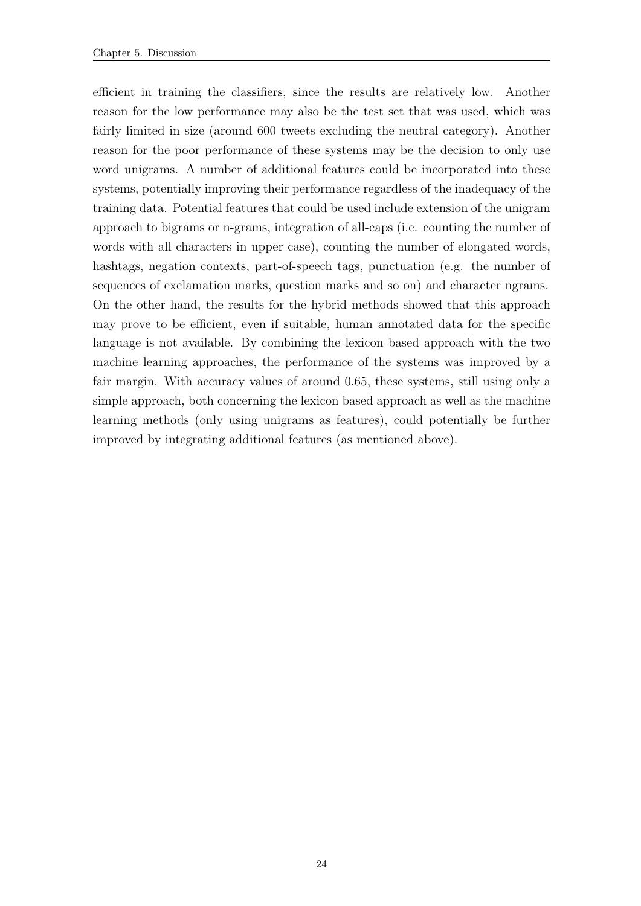efficient in training the classifiers, since the results are relatively low. Another reason for the low performance may also be the test set that was used, which was fairly limited in size (around 600 tweets excluding the neutral category). Another reason for the poor performance of these systems may be the decision to only use word unigrams. A number of additional features could be incorporated into these systems, potentially improving their performance regardless of the inadequacy of the training data. Potential features that could be used include extension of the unigram approach to bigrams or n-grams, integration of all-caps (i.e. counting the number of words with all characters in upper case), counting the number of elongated words, hashtags, negation contexts, part-of-speech tags, punctuation (e.g. the number of sequences of exclamation marks, question marks and so on) and character ngrams. On the other hand, the results for the hybrid methods showed that this approach may prove to be efficient, even if suitable, human annotated data for the specific language is not available. By combining the lexicon based approach with the two machine learning approaches, the performance of the systems was improved by a fair margin. With accuracy values of around 0.65, these systems, still using only a simple approach, both concerning the lexicon based approach as well as the machine learning methods (only using unigrams as features), could potentially be further improved by integrating additional features (as mentioned above).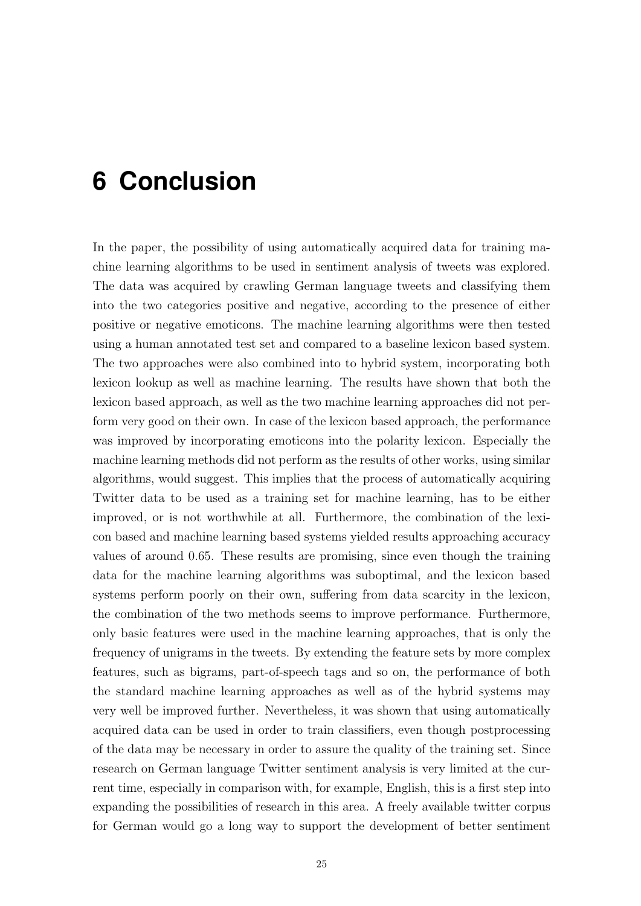## <span id="page-32-0"></span>**6 Conclusion**

In the paper, the possibility of using automatically acquired data for training machine learning algorithms to be used in sentiment analysis of tweets was explored. The data was acquired by crawling German language tweets and classifying them into the two categories positive and negative, according to the presence of either positive or negative emoticons. The machine learning algorithms were then tested using a human annotated test set and compared to a baseline lexicon based system. The two approaches were also combined into to hybrid system, incorporating both lexicon lookup as well as machine learning. The results have shown that both the lexicon based approach, as well as the two machine learning approaches did not perform very good on their own. In case of the lexicon based approach, the performance was improved by incorporating emoticons into the polarity lexicon. Especially the machine learning methods did not perform as the results of other works, using similar algorithms, would suggest. This implies that the process of automatically acquiring Twitter data to be used as a training set for machine learning, has to be either improved, or is not worthwhile at all. Furthermore, the combination of the lexicon based and machine learning based systems yielded results approaching accuracy values of around 0.65. These results are promising, since even though the training data for the machine learning algorithms was suboptimal, and the lexicon based systems perform poorly on their own, suffering from data scarcity in the lexicon, the combination of the two methods seems to improve performance. Furthermore, only basic features were used in the machine learning approaches, that is only the frequency of unigrams in the tweets. By extending the feature sets by more complex features, such as bigrams, part-of-speech tags and so on, the performance of both the standard machine learning approaches as well as of the hybrid systems may very well be improved further. Nevertheless, it was shown that using automatically acquired data can be used in order to train classifiers, even though postprocessing of the data may be necessary in order to assure the quality of the training set. Since research on German language Twitter sentiment analysis is very limited at the current time, especially in comparison with, for example, English, this is a first step into expanding the possibilities of research in this area. A freely available twitter corpus for German would go a long way to support the development of better sentiment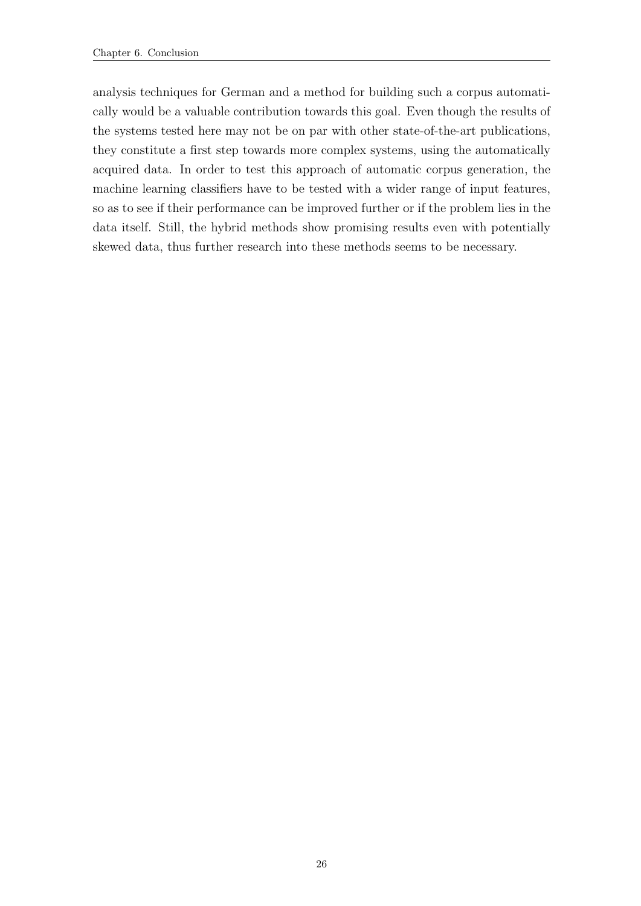analysis techniques for German and a method for building such a corpus automatically would be a valuable contribution towards this goal. Even though the results of the systems tested here may not be on par with other state-of-the-art publications, they constitute a first step towards more complex systems, using the automatically acquired data. In order to test this approach of automatic corpus generation, the machine learning classifiers have to be tested with a wider range of input features, so as to see if their performance can be improved further or if the problem lies in the data itself. Still, the hybrid methods show promising results even with potentially skewed data, thus further research into these methods seems to be necessary.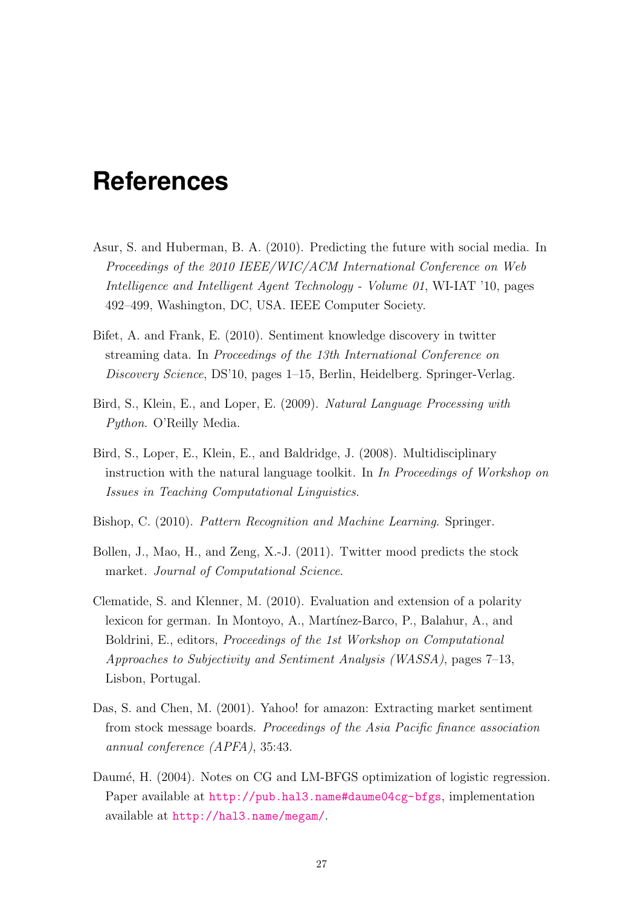### <span id="page-34-0"></span>**References**

- <span id="page-34-2"></span>Asur, S. and Huberman, B. A. (2010). Predicting the future with social media. In Proceedings of the 2010 IEEE/WIC/ACM International Conference on Web Intelligence and Intelligent Agent Technology - Volume 01, WI-IAT '10, pages 492–499, Washington, DC, USA. IEEE Computer Society.
- <span id="page-34-9"></span>Bifet, A. and Frank, E. (2010). Sentiment knowledge discovery in twitter streaming data. In Proceedings of the 13th International Conference on Discovery Science, DS'10, pages 1–15, Berlin, Heidelberg. Springer-Verlag.
- <span id="page-34-4"></span>Bird, S., Klein, E., and Loper, E. (2009). Natural Language Processing with Python. O'Reilly Media.
- <span id="page-34-7"></span>Bird, S., Loper, E., Klein, E., and Baldridge, J. (2008). Multidisciplinary instruction with the natural language toolkit. In In Proceedings of Workshop on Issues in Teaching Computational Linguistics.
- <span id="page-34-5"></span>Bishop, C. (2010). Pattern Recognition and Machine Learning. Springer.
- <span id="page-34-3"></span>Bollen, J., Mao, H., and Zeng, X.-J. (2011). Twitter mood predicts the stock market. Journal of Computational Science.
- <span id="page-34-6"></span>Clematide, S. and Klenner, M. (2010). Evaluation and extension of a polarity lexicon for german. In Montoyo, A., Martínez-Barco, P., Balahur, A., and Boldrini, E., editors, Proceedings of the 1st Workshop on Computational Approaches to Subjectivity and Sentiment Analysis (WASSA), pages 7–13, Lisbon, Portugal.
- <span id="page-34-1"></span>Das, S. and Chen, M. (2001). Yahoo! for amazon: Extracting market sentiment from stock message boards. Proceedings of the Asia Pacific finance association annual conference (APFA), 35:43.
- <span id="page-34-8"></span>Daumé, H. (2004). Notes on CG and LM-BFGS optimization of logistic regression. Paper available at <http://pub.hal3.name#daume04cg-bfgs>, implementation available at <http://hal3.name/megam/>.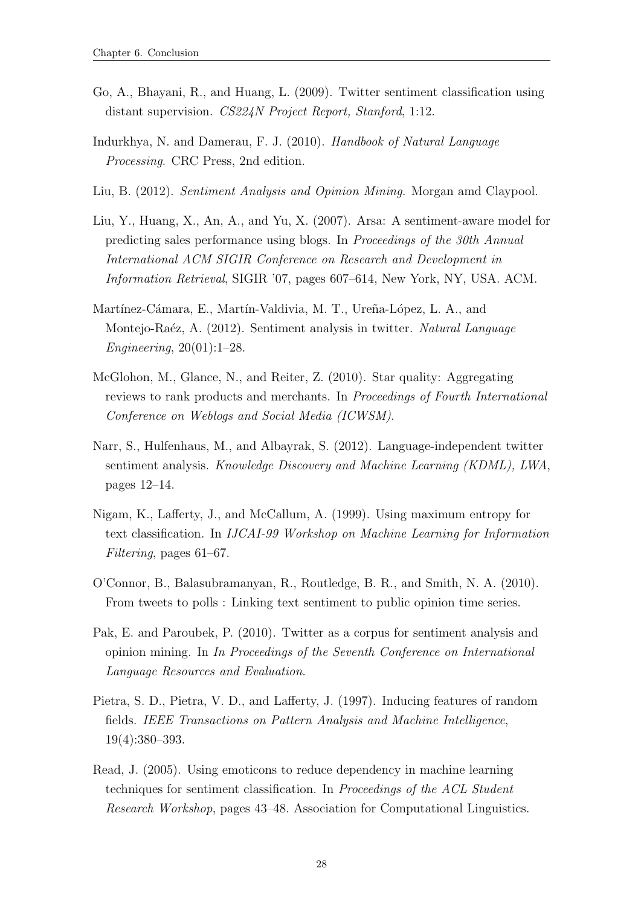- <span id="page-35-11"></span>Go, A., Bhayani, R., and Huang, L. (2009). Twitter sentiment classification using distant supervision. CS224N Project Report, Stanford, 1:12.
- <span id="page-35-0"></span>Indurkhya, N. and Damerau, F. J. (2010). Handbook of Natural Language Processing. CRC Press, 2nd edition.
- <span id="page-35-1"></span>Liu, B. (2012). Sentiment Analysis and Opinion Mining. Morgan amd Claypool.
- <span id="page-35-2"></span>Liu, Y., Huang, X., An, A., and Yu, X. (2007). Arsa: A sentiment-aware model for predicting sales performance using blogs. In Proceedings of the 30th Annual International ACM SIGIR Conference on Research and Development in Information Retrieval, SIGIR '07, pages 607–614, New York, NY, USA. ACM.
- <span id="page-35-5"></span>Martínez-Cámara, E., Martín-Valdivia, M. T., Ureña-López, L. A., and Montejo-Raéz, A. (2012). Sentiment analysis in twitter. Natural Language Engineering, 20(01):1–28.
- <span id="page-35-3"></span>McGlohon, M., Glance, N., and Reiter, Z. (2010). Star quality: Aggregating reviews to rank products and merchants. In Proceedings of Fourth International Conference on Weblogs and Social Media (ICWSM).
- <span id="page-35-9"></span>Narr, S., Hulfenhaus, M., and Albayrak, S. (2012). Language-independent twitter sentiment analysis. Knowledge Discovery and Machine Learning (KDML), LWA, pages 12–14.
- <span id="page-35-8"></span>Nigam, K., Lafferty, J., and McCallum, A. (1999). Using maximum entropy for text classification. In IJCAI-99 Workshop on Machine Learning for Information Filtering, pages 61–67.
- <span id="page-35-4"></span>O'Connor, B., Balasubramanyan, R., Routledge, B. R., and Smith, N. A. (2010). From tweets to polls : Linking text sentiment to public opinion time series.
- <span id="page-35-7"></span>Pak, E. and Paroubek, P. (2010). Twitter as a corpus for sentiment analysis and opinion mining. In In Proceedings of the Seventh Conference on International Language Resources and Evaluation.
- <span id="page-35-10"></span>Pietra, S. D., Pietra, V. D., and Lafferty, J. (1997). Inducing features of random fields. IEEE Transactions on Pattern Analysis and Machine Intelligence, 19(4):380–393.
- <span id="page-35-6"></span>Read, J. (2005). Using emoticons to reduce dependency in machine learning techniques for sentiment classification. In Proceedings of the ACL Student Research Workshop, pages 43–48. Association for Computational Linguistics.